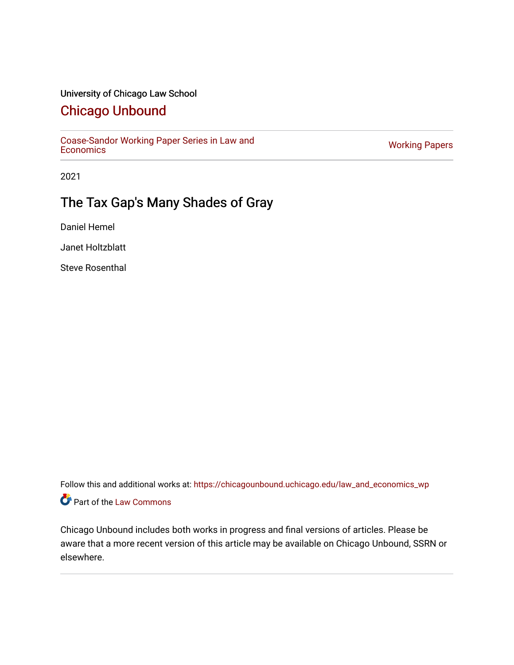#### University of Chicago Law School

## [Chicago Unbound](https://chicagounbound.uchicago.edu/)

[Coase-Sandor Working Paper Series in Law and](https://chicagounbound.uchicago.edu/law_and_economics_wp) [Economics](https://chicagounbound.uchicago.edu/law_and_economics_wp) [Working Papers](https://chicagounbound.uchicago.edu/working_papers) 

2021

# The Tax Gap's Many Shades of Gray

Daniel Hemel

Janet Holtzblatt

Steve Rosenthal

Follow this and additional works at: [https://chicagounbound.uchicago.edu/law\\_and\\_economics\\_wp](https://chicagounbound.uchicago.edu/law_and_economics_wp?utm_source=chicagounbound.uchicago.edu%2Flaw_and_economics_wp%2F23&utm_medium=PDF&utm_campaign=PDFCoverPages)  Part of the [Law Commons](http://network.bepress.com/hgg/discipline/578?utm_source=chicagounbound.uchicago.edu%2Flaw_and_economics_wp%2F23&utm_medium=PDF&utm_campaign=PDFCoverPages)

Chicago Unbound includes both works in progress and final versions of articles. Please be aware that a more recent version of this article may be available on Chicago Unbound, SSRN or elsewhere.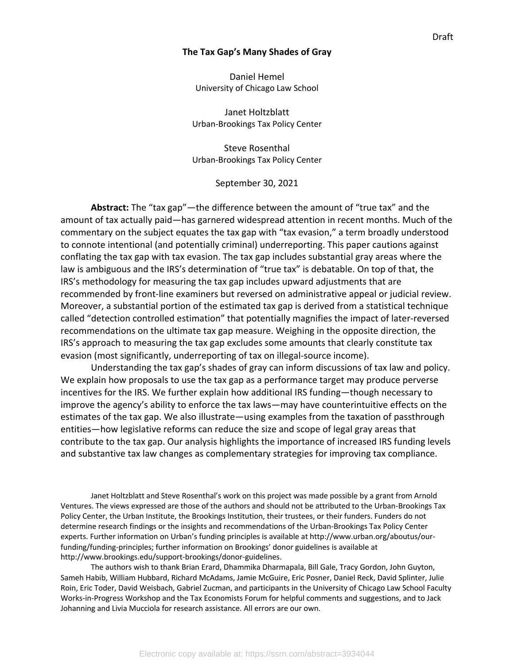#### **The Tax Gap's Many Shades of Gray**

Daniel Hemel University of Chicago Law School

Janet Holtzblatt Urban-Brookings Tax Policy Center

Steve Rosenthal Urban-Brookings Tax Policy Center

September 30, 2021

**Abstract:** The "tax gap"—the difference between the amount of "true tax" and the amount of tax actually paid—has garnered widespread attention in recent months. Much of the commentary on the subject equates the tax gap with "tax evasion," a term broadly understood to connote intentional (and potentially criminal) underreporting. This paper cautions against conflating the tax gap with tax evasion. The tax gap includes substantial gray areas where the law is ambiguous and the IRS's determination of "true tax" is debatable. On top of that, the IRS's methodology for measuring the tax gap includes upward adjustments that are recommended by front-line examiners but reversed on administrative appeal or judicial review. Moreover, a substantial portion of the estimated tax gap is derived from a statistical technique called "detection controlled estimation" that potentially magnifies the impact of later-reversed recommendations on the ultimate tax gap measure. Weighing in the opposite direction, the IRS's approach to measuring the tax gap excludes some amounts that clearly constitute tax evasion (most significantly, underreporting of tax on illegal-source income).

Understanding the tax gap's shades of gray can inform discussions of tax law and policy. We explain how proposals to use the tax gap as a performance target may produce perverse incentives for the IRS. We further explain how additional IRS funding—though necessary to improve the agency's ability to enforce the tax laws—may have counterintuitive effects on the estimates of the tax gap. We also illustrate—using examples from the taxation of passthrough entities—how legislative reforms can reduce the size and scope of legal gray areas that contribute to the tax gap. Our analysis highlights the importance of increased IRS funding levels and substantive tax law changes as complementary strategies for improving tax compliance.

Janet Holtzblatt and Steve Rosenthal's work on this project was made possible by a grant from Arnold Ventures. The views expressed are those of the authors and should not be attributed to the Urban-Brookings Tax Policy Center, the Urban Institute, the Brookings Institution, their trustees, or their funders. Funders do not determine research findings or the insights and recommendations of the Urban-Brookings Tax Policy Center experts. Further information on Urban's funding principles is available at http://www.urban.org/aboutus/ourfunding/funding-principles; further information on Brookings' donor guidelines is available at http://www.brookings.edu/support-brookings/donor-guidelines.

The authors wish to thank Brian Erard, Dhammika Dharmapala, Bill Gale, Tracy Gordon, John Guyton, Sameh Habib, William Hubbard, Richard McAdams, Jamie McGuire, Eric Posner, Daniel Reck, David Splinter, Julie Roin, Eric Toder, David Weisbach, Gabriel Zucman, and participants in the University of Chicago Law School Faculty Works-in-Progress Workshop and the Tax Economists Forum for helpful comments and suggestions, and to Jack Johanning and Livia Mucciola for research assistance. All errors are our own.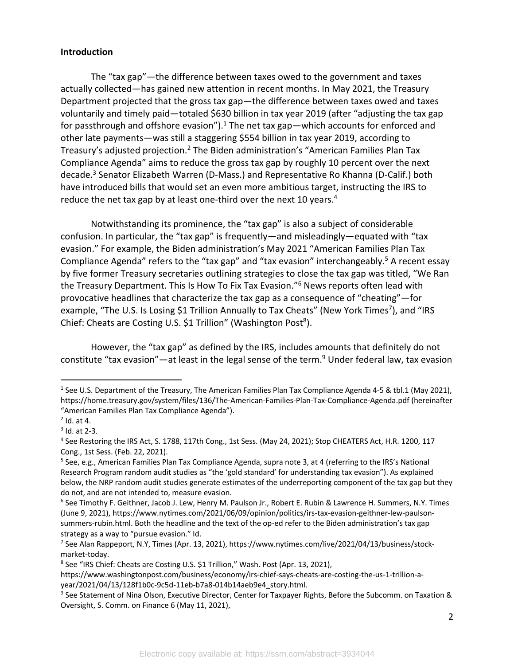#### **Introduction**

The "tax gap"—the difference between taxes owed to the government and taxes actually collected—has gained new attention in recent months. In May 2021, the Treasury Department projected that the gross tax gap—the difference between taxes owed and taxes voluntarily and timely paid—totaled \$630 billion in tax year 2019 (after "adjusting the tax gap for passthrough and offshore evasion").<sup>1</sup> The net tax gap—which accounts for enforced and other late payments—was still a staggering \$554 billion in tax year 2019, according to Treasury's adjusted projection.2 The Biden administration's "American Families Plan Tax Compliance Agenda" aims to reduce the gross tax gap by roughly 10 percent over the next decade.3 Senator Elizabeth Warren (D-Mass.) and Representative Ro Khanna (D-Calif.) both have introduced bills that would set an even more ambitious target, instructing the IRS to reduce the net tax gap by at least one-third over the next 10 years.<sup>4</sup>

Notwithstanding its prominence, the "tax gap" is also a subject of considerable confusion. In particular, the "tax gap" is frequently—and misleadingly—equated with "tax evasion." For example, the Biden administration's May 2021 "American Families Plan Tax Compliance Agenda" refers to the "tax gap" and "tax evasion" interchangeably.<sup>5</sup> A recent essay by five former Treasury secretaries outlining strategies to close the tax gap was titled, "We Ran the Treasury Department. This Is How To Fix Tax Evasion."6 News reports often lead with provocative headlines that characterize the tax gap as a consequence of "cheating"—for example, "The U.S. Is Losing \$1 Trillion Annually to Tax Cheats" (New York Times<sup>7</sup>), and "IRS Chief: Cheats are Costing U.S. \$1 Trillion" (Washington Post<sup>8</sup>).

However, the "tax gap" as defined by the IRS, includes amounts that definitely do not constitute "tax evasion"—at least in the legal sense of the term. $9$  Under federal law, tax evasion

<sup>&</sup>lt;sup>1</sup> See U.S. Department of the Treasury, The American Families Plan Tax Compliance Agenda 4-5 & tbl.1 (May 2021), https://home.treasury.gov/system/files/136/The-American-Families-Plan-Tax-Compliance-Agenda.pdf (hereinafter "American Families Plan Tax Compliance Agenda").

 $<sup>2</sup>$  Id. at 4.</sup>

 $3$  Id. at 2-3.

<sup>4</sup> See Restoring the IRS Act, S. 1788, 117th Cong., 1st Sess. (May 24, 2021); Stop CHEATERS Act, H.R. 1200, 117 Cong., 1st Sess. (Feb. 22, 2021).

<sup>5</sup> See, e.g., American Families Plan Tax Compliance Agenda, supra note 3, at 4 (referring to the IRS's National Research Program random audit studies as "the 'gold standard' for understanding tax evasion"). As explained below, the NRP random audit studies generate estimates of the underreporting component of the tax gap but they do not, and are not intended to, measure evasion.

<sup>6</sup> See Timothy F. Geithner, Jacob J. Lew, Henry M. Paulson Jr., Robert E. Rubin & Lawrence H. Summers, N.Y. Times (June 9, 2021), https://www.nytimes.com/2021/06/09/opinion/politics/irs-tax-evasion-geithner-lew-paulsonsummers-rubin.html. Both the headline and the text of the op-ed refer to the Biden administration's tax gap strategy as a way to "pursue evasion." Id.

<sup>7</sup> See Alan Rappeport, N.Y, Times (Apr. 13, 2021), https://www.nytimes.com/live/2021/04/13/business/stockmarket-today.

<sup>&</sup>lt;sup>8</sup> See "IRS Chief: Cheats are Costing U.S. \$1 Trillion," Wash. Post (Apr. 13, 2021),

https://www.washingtonpost.com/business/economy/irs-chief-says-cheats-are-costing-the-us-1-trillion-ayear/2021/04/13/128f1b0c-9c5d-11eb-b7a8-014b14aeb9e4\_story.html.

<sup>9</sup> See Statement of Nina Olson, Executive Director, Center for Taxpayer Rights, Before the Subcomm. on Taxation & Oversight, S. Comm. on Finance 6 (May 11, 2021),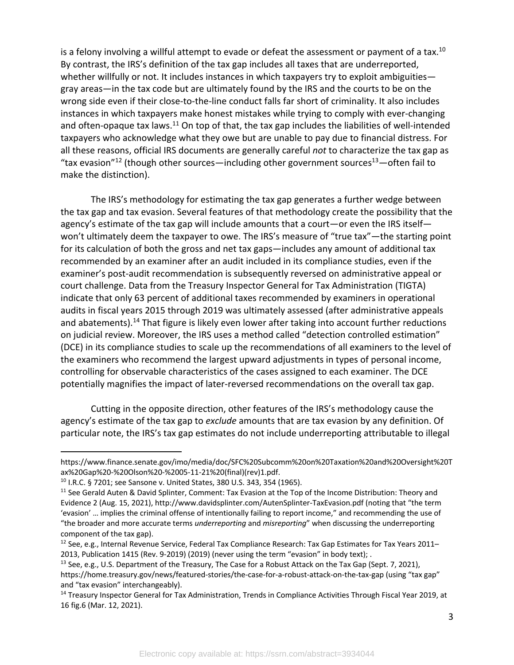is a felony involving a willful attempt to evade or defeat the assessment or payment of a tax.<sup>10</sup> By contrast, the IRS's definition of the tax gap includes all taxes that are underreported, whether willfully or not. It includes instances in which taxpayers try to exploit ambiguities gray areas—in the tax code but are ultimately found by the IRS and the courts to be on the wrong side even if their close-to-the-line conduct falls far short of criminality. It also includes instances in which taxpayers make honest mistakes while trying to comply with ever-changing and often-opaque tax laws.<sup>11</sup> On top of that, the tax gap includes the liabilities of well-intended taxpayers who acknowledge what they owe but are unable to pay due to financial distress. For all these reasons, official IRS documents are generally careful *not* to characterize the tax gap as "tax evasion"<sup>12</sup> (though other sources—including other government sources<sup>13</sup>—often fail to make the distinction).

The IRS's methodology for estimating the tax gap generates a further wedge between the tax gap and tax evasion. Several features of that methodology create the possibility that the agency's estimate of the tax gap will include amounts that a court—or even the IRS itself won't ultimately deem the taxpayer to owe. The IRS's measure of "true tax"—the starting point for its calculation of both the gross and net tax gaps—includes any amount of additional tax recommended by an examiner after an audit included in its compliance studies, even if the examiner's post-audit recommendation is subsequently reversed on administrative appeal or court challenge. Data from the Treasury Inspector General for Tax Administration (TIGTA) indicate that only 63 percent of additional taxes recommended by examiners in operational audits in fiscal years 2015 through 2019 was ultimately assessed (after administrative appeals and abatements).<sup>14</sup> That figure is likely even lower after taking into account further reductions on judicial review. Moreover, the IRS uses a method called "detection controlled estimation" (DCE) in its compliance studies to scale up the recommendations of all examiners to the level of the examiners who recommend the largest upward adjustments in types of personal income, controlling for observable characteristics of the cases assigned to each examiner. The DCE potentially magnifies the impact of later-reversed recommendations on the overall tax gap.

Cutting in the opposite direction, other features of the IRS's methodology cause the agency's estimate of the tax gap to *exclude* amounts that are tax evasion by any definition. Of particular note, the IRS's tax gap estimates do not include underreporting attributable to illegal

https://www.finance.senate.gov/imo/media/doc/SFC%20Subcomm%20on%20Taxation%20and%20Oversight%20T ax%20Gap%20-%20Olson%20-%2005-11-21%20(final)(rev)1.pdf.

<sup>10</sup> I.R.C. § 7201; see Sansone v. United States, 380 U.S. 343, 354 (1965).

<sup>&</sup>lt;sup>11</sup> See Gerald Auten & David Splinter, Comment: Tax Evasion at the Top of the Income Distribution: Theory and Evidence 2 (Aug. 15, 2021), http://www.davidsplinter.com/AutenSplinter-TaxEvasion.pdf (noting that "the term 'evasion' … implies the criminal offense of intentionally failing to report income," and recommending the use of "the broader and more accurate terms *underreporting* and *misreporting*" when discussing the underreporting component of the tax gap).

<sup>&</sup>lt;sup>12</sup> See, e.g., Internal Revenue Service, Federal Tax Compliance Research: Tax Gap Estimates for Tax Years 2011– 2013, Publication 1415 (Rev. 9-2019) (2019) (never using the term "evasion" in body text); .

<sup>&</sup>lt;sup>13</sup> See, e.g., U.S. Department of the Treasury, The Case for a Robust Attack on the Tax Gap (Sept. 7, 2021), https://home.treasury.gov/news/featured-stories/the-case-for-a-robust-attack-on-the-tax-gap (using "tax gap" and "tax evasion" interchangeably).<br><sup>14</sup> Treasury Inspector General for Tax Administration, Trends in Compliance Activities Through Fiscal Year 2019, at

<sup>16</sup> fig.6 (Mar. 12, 2021).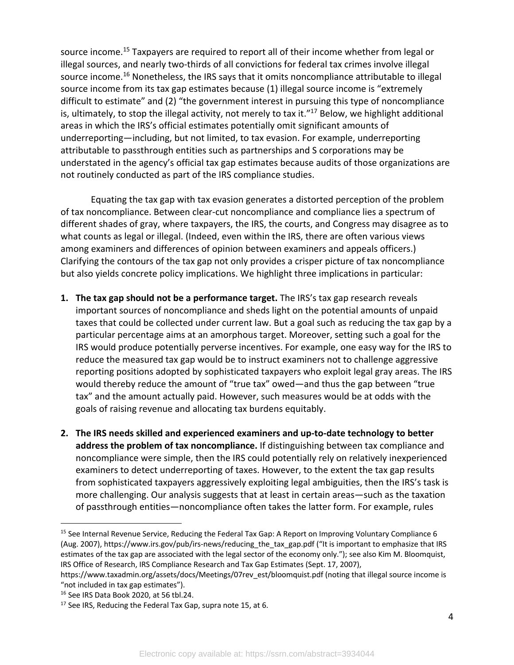source income.<sup>15</sup> Taxpayers are required to report all of their income whether from legal or illegal sources, and nearly two-thirds of all convictions for federal tax crimes involve illegal source income.<sup>16</sup> Nonetheless, the IRS says that it omits noncompliance attributable to illegal source income from its tax gap estimates because (1) illegal source income is "extremely difficult to estimate" and (2) "the government interest in pursuing this type of noncompliance is, ultimately, to stop the illegal activity, not merely to tax it."<sup>17</sup> Below, we highlight additional areas in which the IRS's official estimates potentially omit significant amounts of underreporting—including, but not limited, to tax evasion. For example, underreporting attributable to passthrough entities such as partnerships and S corporations may be understated in the agency's official tax gap estimates because audits of those organizations are not routinely conducted as part of the IRS compliance studies.

Equating the tax gap with tax evasion generates a distorted perception of the problem of tax noncompliance. Between clear-cut noncompliance and compliance lies a spectrum of different shades of gray, where taxpayers, the IRS, the courts, and Congress may disagree as to what counts as legal or illegal. (Indeed, even within the IRS, there are often various views among examiners and differences of opinion between examiners and appeals officers.) Clarifying the contours of the tax gap not only provides a crisper picture of tax noncompliance but also yields concrete policy implications. We highlight three implications in particular:

- **1. The tax gap should not be a performance target.** The IRS's tax gap research reveals important sources of noncompliance and sheds light on the potential amounts of unpaid taxes that could be collected under current law. But a goal such as reducing the tax gap by a particular percentage aims at an amorphous target. Moreover, setting such a goal for the IRS would produce potentially perverse incentives. For example, one easy way for the IRS to reduce the measured tax gap would be to instruct examiners not to challenge aggressive reporting positions adopted by sophisticated taxpayers who exploit legal gray areas. The IRS would thereby reduce the amount of "true tax" owed—and thus the gap between "true tax" and the amount actually paid. However, such measures would be at odds with the goals of raising revenue and allocating tax burdens equitably.
- **2. The IRS needs skilled and experienced examiners and up-to-date technology to better address the problem of tax noncompliance.** If distinguishing between tax compliance and noncompliance were simple, then the IRS could potentially rely on relatively inexperienced examiners to detect underreporting of taxes. However, to the extent the tax gap results from sophisticated taxpayers aggressively exploiting legal ambiguities, then the IRS's task is more challenging. Our analysis suggests that at least in certain areas—such as the taxation of passthrough entities—noncompliance often takes the latter form. For example, rules

<sup>&</sup>lt;sup>15</sup> See Internal Revenue Service, Reducing the Federal Tax Gap: A Report on Improving Voluntary Compliance 6 (Aug. 2007), https://www.irs.gov/pub/irs-news/reducing\_the\_tax\_gap.pdf ("It is important to emphasize that IRS estimates of the tax gap are associated with the legal sector of the economy only."); see also Kim M. Bloomquist, IRS Office of Research, IRS Compliance Research and Tax Gap Estimates (Sept. 17, 2007),

https://www.taxadmin.org/assets/docs/Meetings/07rev\_est/bloomquist.pdf (noting that illegal source income is "not included in tax gap estimates").

<sup>16</sup> See IRS Data Book 2020, at 56 tbl.24.

<sup>&</sup>lt;sup>17</sup> See IRS, Reducing the Federal Tax Gap, supra note 15, at 6.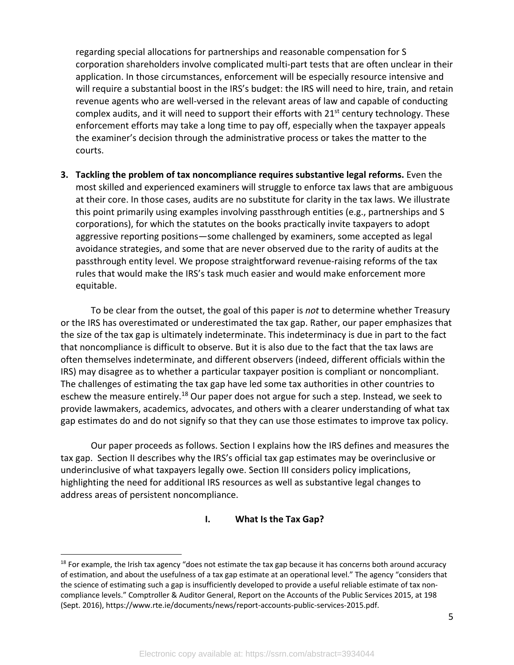regarding special allocations for partnerships and reasonable compensation for S corporation shareholders involve complicated multi-part tests that are often unclear in their application. In those circumstances, enforcement will be especially resource intensive and will require a substantial boost in the IRS's budget: the IRS will need to hire, train, and retain revenue agents who are well-versed in the relevant areas of law and capable of conducting complex audits, and it will need to support their efforts with  $21^{st}$  century technology. These enforcement efforts may take a long time to pay off, especially when the taxpayer appeals the examiner's decision through the administrative process or takes the matter to the courts.

**3. Tackling the problem of tax noncompliance requires substantive legal reforms.** Even the most skilled and experienced examiners will struggle to enforce tax laws that are ambiguous at their core. In those cases, audits are no substitute for clarity in the tax laws. We illustrate this point primarily using examples involving passthrough entities (e.g., partnerships and S corporations), for which the statutes on the books practically invite taxpayers to adopt aggressive reporting positions—some challenged by examiners, some accepted as legal avoidance strategies, and some that are never observed due to the rarity of audits at the passthrough entity level. We propose straightforward revenue-raising reforms of the tax rules that would make the IRS's task much easier and would make enforcement more equitable.

To be clear from the outset, the goal of this paper is *not* to determine whether Treasury or the IRS has overestimated or underestimated the tax gap. Rather, our paper emphasizes that the size of the tax gap is ultimately indeterminate. This indeterminacy is due in part to the fact that noncompliance is difficult to observe. But it is also due to the fact that the tax laws are often themselves indeterminate, and different observers (indeed, different officials within the IRS) may disagree as to whether a particular taxpayer position is compliant or noncompliant. The challenges of estimating the tax gap have led some tax authorities in other countries to eschew the measure entirely.<sup>18</sup> Our paper does not argue for such a step. Instead, we seek to provide lawmakers, academics, advocates, and others with a clearer understanding of what tax gap estimates do and do not signify so that they can use those estimates to improve tax policy.

Our paper proceeds as follows. Section I explains how the IRS defines and measures the tax gap. Section II describes why the IRS's official tax gap estimates may be overinclusive or underinclusive of what taxpayers legally owe. Section III considers policy implications, highlighting the need for additional IRS resources as well as substantive legal changes to address areas of persistent noncompliance.

#### **I. What Is the Tax Gap?**

 $18$  For example, the Irish tax agency "does not estimate the tax gap because it has concerns both around accuracy of estimation, and about the usefulness of a tax gap estimate at an operational level." The agency "considers that the science of estimating such a gap is insufficiently developed to provide a useful reliable estimate of tax noncompliance levels." Comptroller & Auditor General, Report on the Accounts of the Public Services 2015, at 198 (Sept. 2016), https://www.rte.ie/documents/news/report-accounts-public-services-2015.pdf.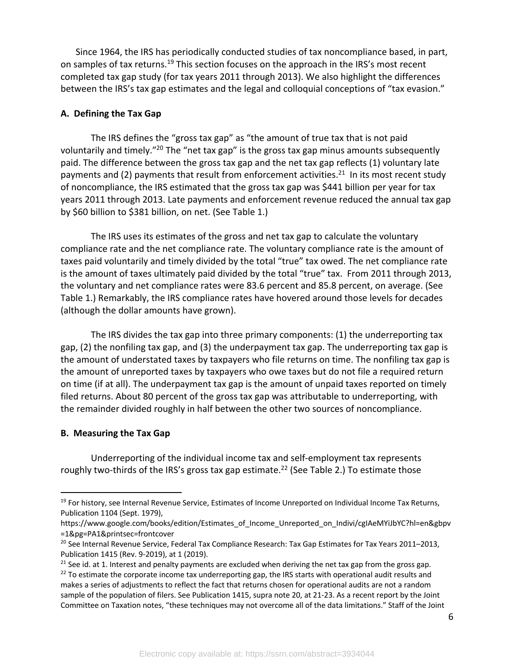Since 1964, the IRS has periodically conducted studies of tax noncompliance based, in part, on samples of tax returns.<sup>19</sup> This section focuses on the approach in the IRS's most recent completed tax gap study (for tax years 2011 through 2013). We also highlight the differences between the IRS's tax gap estimates and the legal and colloquial conceptions of "tax evasion."

#### **A. Defining the Tax Gap**

The IRS defines the "gross tax gap" as "the amount of true tax that is not paid voluntarily and timely."20 The "net tax gap" is the gross tax gap minus amounts subsequently paid. The difference between the gross tax gap and the net tax gap reflects (1) voluntary late payments and (2) payments that result from enforcement activities.<sup>21</sup> In its most recent study of noncompliance, the IRS estimated that the gross tax gap was \$441 billion per year for tax years 2011 through 2013. Late payments and enforcement revenue reduced the annual tax gap by \$60 billion to \$381 billion, on net. (See Table 1.)

The IRS uses its estimates of the gross and net tax gap to calculate the voluntary compliance rate and the net compliance rate. The voluntary compliance rate is the amount of taxes paid voluntarily and timely divided by the total "true" tax owed. The net compliance rate is the amount of taxes ultimately paid divided by the total "true" tax. From 2011 through 2013, the voluntary and net compliance rates were 83.6 percent and 85.8 percent, on average. (See Table 1.) Remarkably, the IRS compliance rates have hovered around those levels for decades (although the dollar amounts have grown).

The IRS divides the tax gap into three primary components: (1) the underreporting tax gap, (2) the nonfiling tax gap, and (3) the underpayment tax gap. The underreporting tax gap is the amount of understated taxes by taxpayers who file returns on time. The nonfiling tax gap is the amount of unreported taxes by taxpayers who owe taxes but do not file a required return on time (if at all). The underpayment tax gap is the amount of unpaid taxes reported on timely filed returns. About 80 percent of the gross tax gap was attributable to underreporting, with the remainder divided roughly in half between the other two sources of noncompliance.

#### **B. Measuring the Tax Gap**

Underreporting of the individual income tax and self-employment tax represents roughly two-thirds of the IRS's gross tax gap estimate.<sup>22</sup> (See Table 2.) To estimate those

<sup>&</sup>lt;sup>19</sup> For history, see Internal Revenue Service, Estimates of Income Unreported on Individual Income Tax Returns, Publication 1104 (Sept. 1979),

https://www.google.com/books/edition/Estimates\_of\_Income\_Unreported\_on\_Indivi/cgIAeMYiJbYC?hl=en&gbpv =1&pg=PA1&printsec=frontcover

<sup>&</sup>lt;sup>20</sup> See Internal Revenue Service, Federal Tax Compliance Research: Tax Gap Estimates for Tax Years 2011–2013, Publication 1415 (Rev. 9-2019), at 1 (2019).<br><sup>21</sup> See id. at 1. Interest and penalty payments are excluded when deriving the net tax gap from the gross gap.

 $22$  To estimate the corporate income tax underreporting gap, the IRS starts with operational audit results and makes a series of adjustments to reflect the fact that returns chosen for operational audits are not a random sample of the population of filers. See Publication 1415, supra note 20, at 21-23. As a recent report by the Joint Committee on Taxation notes, "these techniques may not overcome all of the data limitations." Staff of the Joint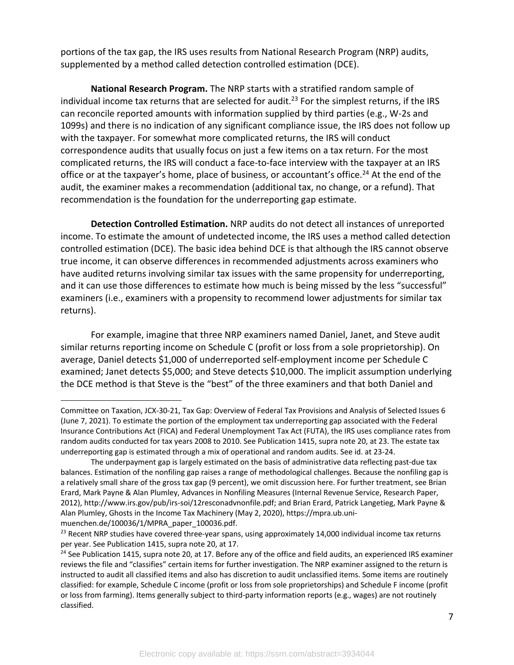portions of the tax gap, the IRS uses results from National Research Program (NRP) audits, supplemented by a method called detection controlled estimation (DCE).

**National Research Program.** The NRP starts with a stratified random sample of individual income tax returns that are selected for audit.<sup>23</sup> For the simplest returns, if the IRS can reconcile reported amounts with information supplied by third parties (e.g., W-2s and 1099s) and there is no indication of any significant compliance issue, the IRS does not follow up with the taxpayer. For somewhat more complicated returns, the IRS will conduct correspondence audits that usually focus on just a few items on a tax return. For the most complicated returns, the IRS will conduct a face-to-face interview with the taxpayer at an IRS office or at the taxpayer's home, place of business, or accountant's office.<sup>24</sup> At the end of the audit, the examiner makes a recommendation (additional tax, no change, or a refund). That recommendation is the foundation for the underreporting gap estimate.

**Detection Controlled Estimation.** NRP audits do not detect all instances of unreported income. To estimate the amount of undetected income, the IRS uses a method called detection controlled estimation (DCE). The basic idea behind DCE is that although the IRS cannot observe true income, it can observe differences in recommended adjustments across examiners who have audited returns involving similar tax issues with the same propensity for underreporting, and it can use those differences to estimate how much is being missed by the less "successful" examiners (i.e., examiners with a propensity to recommend lower adjustments for similar tax returns).

For example, imagine that three NRP examiners named Daniel, Janet, and Steve audit similar returns reporting income on Schedule C (profit or loss from a sole proprietorship). On average, Daniel detects \$1,000 of underreported self-employment income per Schedule C examined; Janet detects \$5,000; and Steve detects \$10,000. The implicit assumption underlying the DCE method is that Steve is the "best" of the three examiners and that both Daniel and

Committee on Taxation, JCX-30-21, Tax Gap: Overview of Federal Tax Provisions and Analysis of Selected Issues 6 (June 7, 2021). To estimate the portion of the employment tax underreporting gap associated with the Federal Insurance Contributions Act (FICA) and Federal Unemployment Tax Act (FUTA), the IRS uses compliance rates from random audits conducted for tax years 2008 to 2010. See Publication 1415, supra note 20, at 23. The estate tax underreporting gap is estimated through a mix of operational and random audits. See id. at 23-24.

The underpayment gap is largely estimated on the basis of administrative data reflecting past-due tax balances. Estimation of the nonfiling gap raises a range of methodological challenges. Because the nonfiling gap is a relatively small share of the gross tax gap (9 percent), we omit discussion here. For further treatment, see Brian Erard, Mark Payne & Alan Plumley, Advances in Nonfiling Measures (Internal Revenue Service, Research Paper, 2012), http://www.irs.gov/pub/irs-soi/12resconadvnonfile.pdf; and Brian Erard, Patrick Langetieg, Mark Payne & Alan Plumley, Ghosts in the Income Tax Machinery (May 2, 2020), https://mpra.ub.unimuenchen.de/100036/1/MPRA\_paper\_100036.pdf.

<sup>&</sup>lt;sup>23</sup> Recent NRP studies have covered three-year spans, using approximately 14,000 individual income tax returns per year. See Publication 1415, supra note 20, at 17.

 $24$  See Publication 1415, supra note 20, at 17. Before any of the office and field audits, an experienced IRS examiner reviews the file and "classifies" certain items for further investigation. The NRP examiner assigned to the return is instructed to audit all classified items and also has discretion to audit unclassified items. Some items are routinely classified: for example, Schedule C income (profit or loss from sole proprietorships) and Schedule F income (profit or loss from farming). Items generally subject to third-party information reports (e.g., wages) are not routinely classified.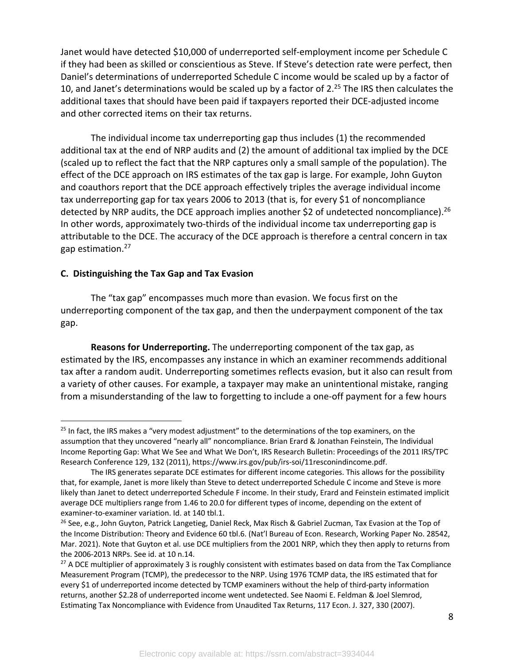Janet would have detected \$10,000 of underreported self-employment income per Schedule C if they had been as skilled or conscientious as Steve. If Steve's detection rate were perfect, then Daniel's determinations of underreported Schedule C income would be scaled up by a factor of 10, and Janet's determinations would be scaled up by a factor of 2. $^{25}$  The IRS then calculates the additional taxes that should have been paid if taxpayers reported their DCE-adjusted income and other corrected items on their tax returns.

The individual income tax underreporting gap thus includes (1) the recommended additional tax at the end of NRP audits and (2) the amount of additional tax implied by the DCE (scaled up to reflect the fact that the NRP captures only a small sample of the population). The effect of the DCE approach on IRS estimates of the tax gap is large. For example, John Guyton and coauthors report that the DCE approach effectively triples the average individual income tax underreporting gap for tax years 2006 to 2013 (that is, for every \$1 of noncompliance detected by NRP audits, the DCE approach implies another \$2 of undetected noncompliance).<sup>26</sup> In other words, approximately two-thirds of the individual income tax underreporting gap is attributable to the DCE. The accuracy of the DCE approach is therefore a central concern in tax gap estimation.<sup>27</sup>

#### **C. Distinguishing the Tax Gap and Tax Evasion**

The "tax gap" encompasses much more than evasion. We focus first on the underreporting component of the tax gap, and then the underpayment component of the tax gap.

**Reasons for Underreporting.** The underreporting component of the tax gap, as estimated by the IRS, encompasses any instance in which an examiner recommends additional tax after a random audit. Underreporting sometimes reflects evasion, but it also can result from a variety of other causes. For example, a taxpayer may make an unintentional mistake, ranging from a misunderstanding of the law to forgetting to include a one-off payment for a few hours

<sup>&</sup>lt;sup>25</sup> In fact, the IRS makes a "very modest adjustment" to the determinations of the top examiners, on the assumption that they uncovered "nearly all" noncompliance. Brian Erard & Jonathan Feinstein, The Individual Income Reporting Gap: What We See and What We Don't, IRS Research Bulletin: Proceedings of the 2011 IRS/TPC Research Conference 129, 132 (2011), https://www.irs.gov/pub/irs-soi/11resconindincome.pdf.

The IRS generates separate DCE estimates for different income categories. This allows for the possibility that, for example, Janet is more likely than Steve to detect underreported Schedule C income and Steve is more likely than Janet to detect underreported Schedule F income. In their study, Erard and Feinstein estimated implicit average DCE multipliers range from 1.46 to 20.0 for different types of income, depending on the extent of examiner-to-examiner variation. Id. at 140 tbl.1.

<sup>&</sup>lt;sup>26</sup> See, e.g., John Guyton, Patrick Langetieg, Daniel Reck, Max Risch & Gabriel Zucman, Tax Evasion at the Top of the Income Distribution: Theory and Evidence 60 tbl.6. (Nat'l Bureau of Econ. Research, Working Paper No. 28542, Mar. 2021). Note that Guyton et al. use DCE multipliers from the 2001 NRP, which they then apply to returns from the 2006-2013 NRPs. See id. at 10 n.14.

 $27$  A DCE multiplier of approximately 3 is roughly consistent with estimates based on data from the Tax Compliance Measurement Program (TCMP), the predecessor to the NRP. Using 1976 TCMP data, the IRS estimated that for every \$1 of underreported income detected by TCMP examiners without the help of third-party information returns, another \$2.28 of underreported income went undetected. See Naomi E. Feldman & Joel Slemrod, Estimating Tax Noncompliance with Evidence from Unaudited Tax Returns, 117 Econ. J. 327, 330 (2007).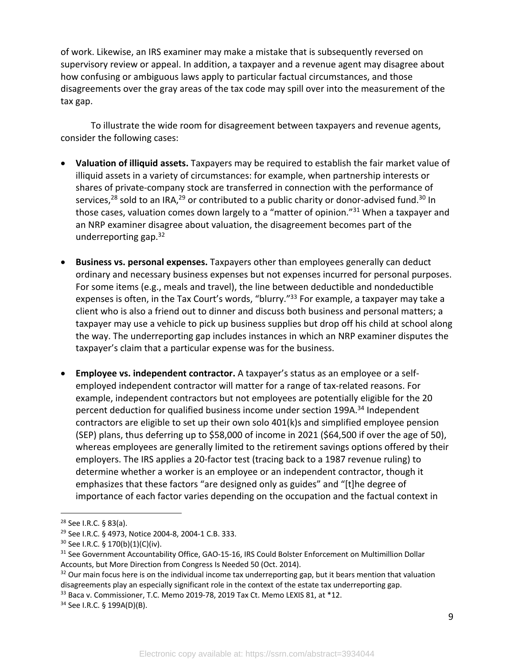of work. Likewise, an IRS examiner may make a mistake that is subsequently reversed on supervisory review or appeal. In addition, a taxpayer and a revenue agent may disagree about how confusing or ambiguous laws apply to particular factual circumstances, and those disagreements over the gray areas of the tax code may spill over into the measurement of the tax gap.

To illustrate the wide room for disagreement between taxpayers and revenue agents, consider the following cases:

- **Valuation of illiquid assets.** Taxpayers may be required to establish the fair market value of illiquid assets in a variety of circumstances: for example, when partnership interests or shares of private-company stock are transferred in connection with the performance of services,<sup>28</sup> sold to an IRA,<sup>29</sup> or contributed to a public charity or donor-advised fund.<sup>30</sup> In those cases, valuation comes down largely to a "matter of opinion."<sup>31</sup> When a taxpayer and an NRP examiner disagree about valuation, the disagreement becomes part of the underreporting gap. $32$
- **Business vs. personal expenses.** Taxpayers other than employees generally can deduct ordinary and necessary business expenses but not expenses incurred for personal purposes. For some items (e.g., meals and travel), the line between deductible and nondeductible expenses is often, in the Tax Court's words, "blurry."<sup>33</sup> For example, a taxpayer may take a client who is also a friend out to dinner and discuss both business and personal matters; a taxpayer may use a vehicle to pick up business supplies but drop off his child at school along the way. The underreporting gap includes instances in which an NRP examiner disputes the taxpayer's claim that a particular expense was for the business.
- **Employee vs. independent contractor.** A taxpayer's status as an employee or a selfemployed independent contractor will matter for a range of tax-related reasons. For example, independent contractors but not employees are potentially eligible for the 20 percent deduction for qualified business income under section 199A.<sup>34</sup> Independent contractors are eligible to set up their own solo 401(k)s and simplified employee pension (SEP) plans, thus deferring up to \$58,000 of income in 2021 (\$64,500 if over the age of 50), whereas employees are generally limited to the retirement savings options offered by their employers. The IRS applies a 20-factor test (tracing back to a 1987 revenue ruling) to determine whether a worker is an employee or an independent contractor, though it emphasizes that these factors "are designed only as guides" and "[t]he degree of importance of each factor varies depending on the occupation and the factual context in

<sup>33</sup> Baca v. Commissioner, T.C. Memo 2019-78, 2019 Tax Ct. Memo LEXIS 81, at \*12.

<sup>28</sup> See I.R.C. § 83(a).

<sup>29</sup> See I.R.C. § 4973, Notice 2004-8, 2004-1 C.B. 333.

<sup>30</sup> See I.R.C. § 170(b)(1)(C)(iv).

<sup>&</sup>lt;sup>31</sup> See Government Accountability Office, GAO-15-16, IRS Could Bolster Enforcement on Multimillion Dollar Accounts, but More Direction from Congress Is Needed 50 (Oct. 2014).

 $32$  Our main focus here is on the individual income tax underreporting gap, but it bears mention that valuation disagreements play an especially significant role in the context of the estate tax underreporting gap.

<sup>34</sup> See I.R.C. § 199A(D)(B).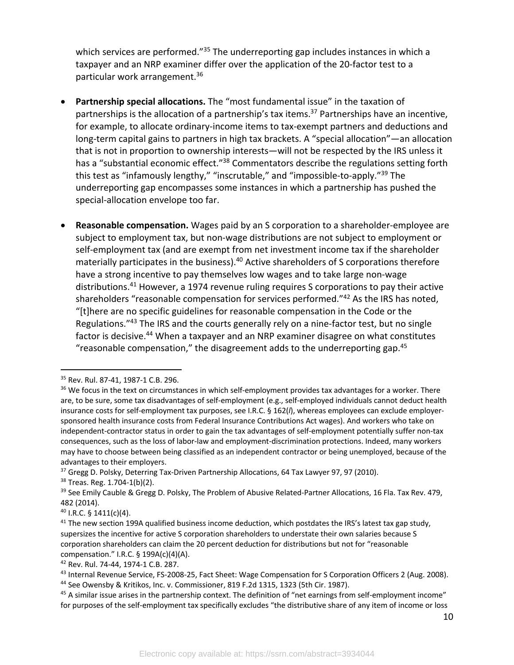which services are performed."<sup>35</sup> The underreporting gap includes instances in which a taxpayer and an NRP examiner differ over the application of the 20-factor test to a particular work arrangement.36

- **Partnership special allocations.** The "most fundamental issue" in the taxation of partnerships is the allocation of a partnership's tax items.<sup>37</sup> Partnerships have an incentive, for example, to allocate ordinary-income items to tax-exempt partners and deductions and long-term capital gains to partners in high tax brackets. A "special allocation"—an allocation that is not in proportion to ownership interests—will not be respected by the IRS unless it has a "substantial economic effect."<sup>38</sup> Commentators describe the regulations setting forth this test as "infamously lengthy," "inscrutable," and "impossible-to-apply."<sup>39</sup> The underreporting gap encompasses some instances in which a partnership has pushed the special-allocation envelope too far.
- **Reasonable compensation.** Wages paid by an S corporation to a shareholder-employee are subject to employment tax, but non-wage distributions are not subject to employment or self-employment tax (and are exempt from net investment income tax if the shareholder materially participates in the business).<sup>40</sup> Active shareholders of S corporations therefore have a strong incentive to pay themselves low wages and to take large non-wage distributions.<sup>41</sup> However, a 1974 revenue ruling requires S corporations to pay their active shareholders "reasonable compensation for services performed."<sup>42</sup> As the IRS has noted, "[t]here are no specific guidelines for reasonable compensation in the Code or the Regulations."43 The IRS and the courts generally rely on a nine-factor test, but no single factor is decisive.<sup>44</sup> When a taxpayer and an NRP examiner disagree on what constitutes "reasonable compensation," the disagreement adds to the underreporting gap. $45$

<sup>42</sup> Rev. Rul. 74-44, 1974-1 C.B. 287.

<sup>35</sup> Rev. Rul. 87-41, 1987-1 C.B. 296.

<sup>&</sup>lt;sup>36</sup> We focus in the text on circumstances in which self-employment provides tax advantages for a worker. There are, to be sure, some tax disadvantages of self-employment (e.g., self-employed individuals cannot deduct health insurance costs for self-employment tax purposes, see I.R.C. § 162(*l*), whereas employees can exclude employersponsored health insurance costs from Federal Insurance Contributions Act wages). And workers who take on independent-contractor status in order to gain the tax advantages of self-employment potentially suffer non-tax consequences, such as the loss of labor-law and employment-discrimination protections. Indeed, many workers may have to choose between being classified as an independent contractor or being unemployed, because of the advantages to their employers.

 $37$  Gregg D. Polsky, Deterring Tax-Driven Partnership Allocations, 64 Tax Lawyer 97, 97 (2010).

<sup>38</sup> Treas. Reg. 1.704-1(b)(2).

<sup>&</sup>lt;sup>39</sup> See Emily Cauble & Gregg D. Polsky, The Problem of Abusive Related-Partner Allocations, 16 Fla. Tax Rev. 479, 482 (2014).

<sup>40</sup> I.R.C. § 1411(c)(4).

<sup>&</sup>lt;sup>41</sup> The new section 199A qualified business income deduction, which postdates the IRS's latest tax gap study, supersizes the incentive for active S corporation shareholders to understate their own salaries because S corporation shareholders can claim the 20 percent deduction for distributions but not for "reasonable compensation." I.R.C.  $\S$  199A(c)(4)(A).

<sup>&</sup>lt;sup>43</sup> Internal Revenue Service, FS-2008-25, Fact Sheet: Wage Compensation for S Corporation Officers 2 (Aug. 2008). <sup>44</sup> See Owensby & Kritikos, Inc. v. Commissioner, 819 F.2d 1315, 1323 (5th Cir. 1987).

<sup>&</sup>lt;sup>45</sup> A similar issue arises in the partnership context. The definition of "net earnings from self-employment income" for purposes of the self-employment tax specifically excludes "the distributive share of any item of income or loss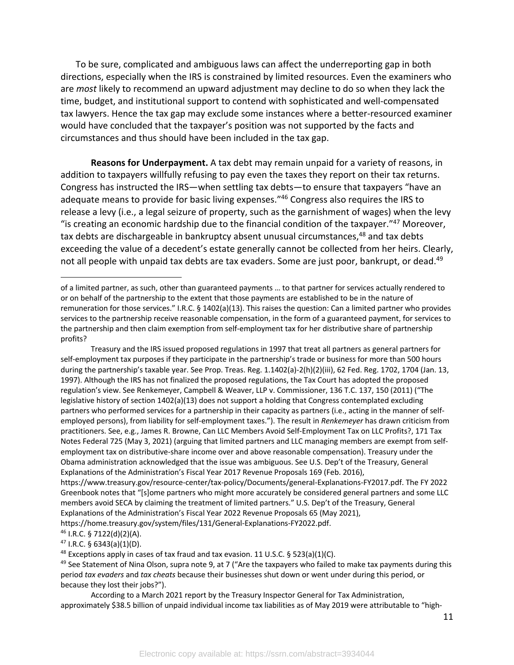To be sure, complicated and ambiguous laws can affect the underreporting gap in both directions, especially when the IRS is constrained by limited resources. Even the examiners who are *most* likely to recommend an upward adjustment may decline to do so when they lack the time, budget, and institutional support to contend with sophisticated and well-compensated tax lawyers. Hence the tax gap may exclude some instances where a better-resourced examiner would have concluded that the taxpayer's position was not supported by the facts and circumstances and thus should have been included in the tax gap.

**Reasons for Underpayment.** A tax debt may remain unpaid for a variety of reasons, in addition to taxpayers willfully refusing to pay even the taxes they report on their tax returns. Congress has instructed the IRS—when settling tax debts—to ensure that taxpayers "have an adequate means to provide for basic living expenses."46 Congress also requires the IRS to release a levy (i.e., a legal seizure of property, such as the garnishment of wages) when the levy "is creating an economic hardship due to the financial condition of the taxpayer."47 Moreover, tax debts are dischargeable in bankruptcy absent unusual circumstances,<sup>48</sup> and tax debts exceeding the value of a decedent's estate generally cannot be collected from her heirs. Clearly, not all people with unpaid tax debts are tax evaders. Some are just poor, bankrupt, or dead.<sup>49</sup>

Treasury and the IRS issued proposed regulations in 1997 that treat all partners as general partners for self-employment tax purposes if they participate in the partnership's trade or business for more than 500 hours during the partnership's taxable year. See Prop. Treas. Reg. 1.1402(a)-2(h)(2)(iii), 62 Fed. Reg. 1702, 1704 (Jan. 13, 1997). Although the IRS has not finalized the proposed regulations, the Tax Court has adopted the proposed regulation's view. See Renkemeyer, Campbell & Weaver, LLP v. Commissioner, 136 T.C. 137, 150 (2011) ("The legislative history of section 1402(a)(13) does not support a holding that Congress contemplated excluding partners who performed services for a partnership in their capacity as partners (i.e., acting in the manner of selfemployed persons), from liability for self-employment taxes."). The result in *Renkemeyer* has drawn criticism from practitioners. See, e.g., James R. Browne, Can LLC Members Avoid Self-Employment Tax on LLC Profits?, 171 Tax Notes Federal 725 (May 3, 2021) (arguing that limited partners and LLC managing members are exempt from selfemployment tax on distributive-share income over and above reasonable compensation). Treasury under the Obama administration acknowledged that the issue was ambiguous. See U.S. Dep't of the Treasury, General Explanations of the Administration's Fiscal Year 2017 Revenue Proposals 169 (Feb. 2016),

https://www.treasury.gov/resource-center/tax-policy/Documents/general-Explanations-FY2017.pdf. The FY 2022 Greenbook notes that "[s]ome partners who might more accurately be considered general partners and some LLC members avoid SECA by claiming the treatment of limited partners." U.S. Dep't of the Treasury, General Explanations of the Administration's Fiscal Year 2022 Revenue Proposals 65 (May 2021),

https://home.treasury.gov/system/files/131/General-Explanations-FY2022.pdf.

 $46$  I.R.C. § 7122(d)(2)(A).

 $47$  I.R.C. § 6343(a)(1)(D).

<sup>48</sup> Exceptions apply in cases of tax fraud and tax evasion. 11 U.S.C. § 523(a)(1)(C).<br><sup>49</sup> See Statement of Nina Olson, supra note 9, at 7 ("Are the taxpayers who failed to make tax payments during this period *tax evaders* and *tax cheats* because their businesses shut down or went under during this period, or because they lost their jobs?").

According to a March 2021 report by the Treasury Inspector General for Tax Administration, approximately \$38.5 billion of unpaid individual income tax liabilities as of May 2019 were attributable to "high-

of a limited partner, as such, other than guaranteed payments … to that partner for services actually rendered to or on behalf of the partnership to the extent that those payments are established to be in the nature of remuneration for those services." I.R.C. § 1402(a)(13). This raises the question: Can a limited partner who provides services to the partnership receive reasonable compensation, in the form of a guaranteed payment, for services to the partnership and then claim exemption from self-employment tax for her distributive share of partnership profits?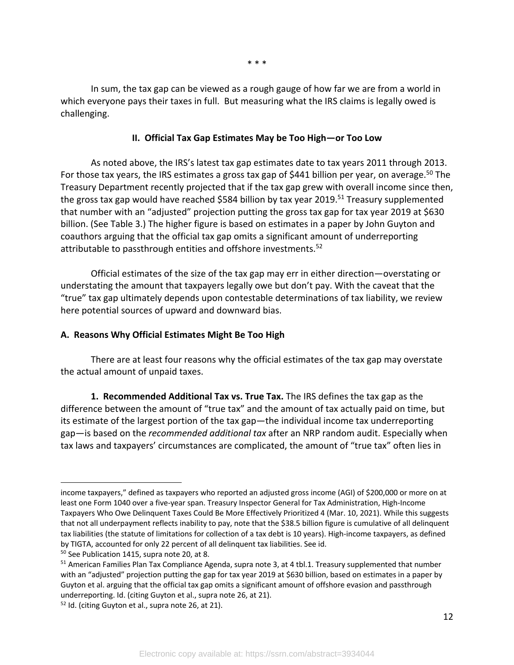In sum, the tax gap can be viewed as a rough gauge of how far we are from a world in which everyone pays their taxes in full. But measuring what the IRS claims is legally owed is challenging.

#### **II. Official Tax Gap Estimates May be Too High—or Too Low**

As noted above, the IRS's latest tax gap estimates date to tax years 2011 through 2013. For those tax years, the IRS estimates a gross tax gap of \$441 billion per year, on average.<sup>50</sup> The Treasury Department recently projected that if the tax gap grew with overall income since then, the gross tax gap would have reached \$584 billion by tax year 2019.<sup>51</sup> Treasury supplemented that number with an "adjusted" projection putting the gross tax gap for tax year 2019 at \$630 billion. (See Table 3.) The higher figure is based on estimates in a paper by John Guyton and coauthors arguing that the official tax gap omits a significant amount of underreporting attributable to passthrough entities and offshore investments.<sup>52</sup>

Official estimates of the size of the tax gap may err in either direction—overstating or understating the amount that taxpayers legally owe but don't pay. With the caveat that the "true" tax gap ultimately depends upon contestable determinations of tax liability, we review here potential sources of upward and downward bias.

#### **A. Reasons Why Official Estimates Might Be Too High**

There are at least four reasons why the official estimates of the tax gap may overstate the actual amount of unpaid taxes.

**1. Recommended Additional Tax vs. True Tax.** The IRS defines the tax gap as the difference between the amount of "true tax" and the amount of tax actually paid on time, but its estimate of the largest portion of the tax gap—the individual income tax underreporting gap—is based on the *recommended additional tax* after an NRP random audit. Especially when tax laws and taxpayers' circumstances are complicated, the amount of "true tax" often lies in

income taxpayers," defined as taxpayers who reported an adjusted gross income (AGI) of \$200,000 or more on at least one Form 1040 over a five-year span. Treasury Inspector General for Tax Administration, High-Income Taxpayers Who Owe Delinquent Taxes Could Be More Effectively Prioritized 4 (Mar. 10, 2021). While this suggests that not all underpayment reflects inability to pay, note that the \$38.5 billion figure is cumulative of all delinquent tax liabilities (the statute of limitations for collection of a tax debt is 10 years). High-income taxpayers, as defined by TIGTA, accounted for only 22 percent of all delinquent tax liabilities. See id.

<sup>50</sup> See Publication 1415, supra note 20, at 8.

<sup>&</sup>lt;sup>51</sup> American Families Plan Tax Compliance Agenda, supra note 3, at 4 tbl.1. Treasury supplemented that number with an "adjusted" projection putting the gap for tax year 2019 at \$630 billion, based on estimates in a paper by Guyton et al. arguing that the official tax gap omits a significant amount of offshore evasion and passthrough underreporting. Id. (citing Guyton et al., supra note 26, at 21).

<sup>&</sup>lt;sup>52</sup> Id. (citing Guyton et al., supra note 26, at 21).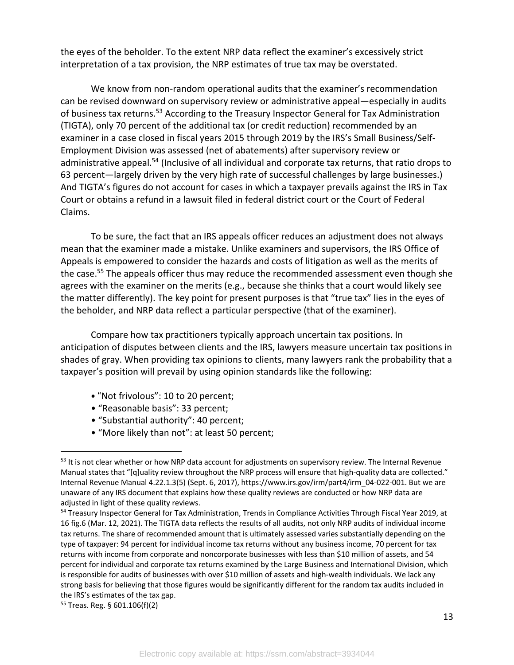the eyes of the beholder. To the extent NRP data reflect the examiner's excessively strict interpretation of a tax provision, the NRP estimates of true tax may be overstated.

We know from non-random operational audits that the examiner's recommendation can be revised downward on supervisory review or administrative appeal—especially in audits of business tax returns.<sup>53</sup> According to the Treasury Inspector General for Tax Administration (TIGTA), only 70 percent of the additional tax (or credit reduction) recommended by an examiner in a case closed in fiscal years 2015 through 2019 by the IRS's Small Business/Self-Employment Division was assessed (net of abatements) after supervisory review or administrative appeal.<sup>54</sup> (Inclusive of all individual and corporate tax returns, that ratio drops to 63 percent—largely driven by the very high rate of successful challenges by large businesses.) And TIGTA's figures do not account for cases in which a taxpayer prevails against the IRS in Tax Court or obtains a refund in a lawsuit filed in federal district court or the Court of Federal Claims.

To be sure, the fact that an IRS appeals officer reduces an adjustment does not always mean that the examiner made a mistake. Unlike examiners and supervisors, the IRS Office of Appeals is empowered to consider the hazards and costs of litigation as well as the merits of the case.<sup>55</sup> The appeals officer thus may reduce the recommended assessment even though she agrees with the examiner on the merits (e.g., because she thinks that a court would likely see the matter differently). The key point for present purposes is that "true tax" lies in the eyes of the beholder, and NRP data reflect a particular perspective (that of the examiner).

Compare how tax practitioners typically approach uncertain tax positions. In anticipation of disputes between clients and the IRS, lawyers measure uncertain tax positions in shades of gray. When providing tax opinions to clients, many lawyers rank the probability that a taxpayer's position will prevail by using opinion standards like the following:

- "Not frivolous": 10 to 20 percent;
- "Reasonable basis": 33 percent;
- "Substantial authority": 40 percent;
- "More likely than not": at least 50 percent;

<sup>&</sup>lt;sup>53</sup> It is not clear whether or how NRP data account for adjustments on supervisory review. The Internal Revenue Manual states that "[q]uality review throughout the NRP process will ensure that high-quality data are collected." Internal Revenue Manual 4.22.1.3(5) (Sept. 6, 2017), https://www.irs.gov/irm/part4/irm\_04-022-001. But we are unaware of any IRS document that explains how these quality reviews are conducted or how NRP data are adjusted in light of these quality reviews.

<sup>54</sup> Treasury Inspector General for Tax Administration, Trends in Compliance Activities Through Fiscal Year 2019, at 16 fig.6 (Mar. 12, 2021). The TIGTA data reflects the results of all audits, not only NRP audits of individual income tax returns. The share of recommended amount that is ultimately assessed varies substantially depending on the type of taxpayer: 94 percent for individual income tax returns without any business income, 70 percent for tax returns with income from corporate and noncorporate businesses with less than \$10 million of assets, and 54 percent for individual and corporate tax returns examined by the Large Business and International Division, which is responsible for audits of businesses with over \$10 million of assets and high-wealth individuals. We lack any strong basis for believing that those figures would be significantly different for the random tax audits included in the IRS's estimates of the tax gap.

<sup>55</sup> Treas. Reg. § 601.106(f)(2)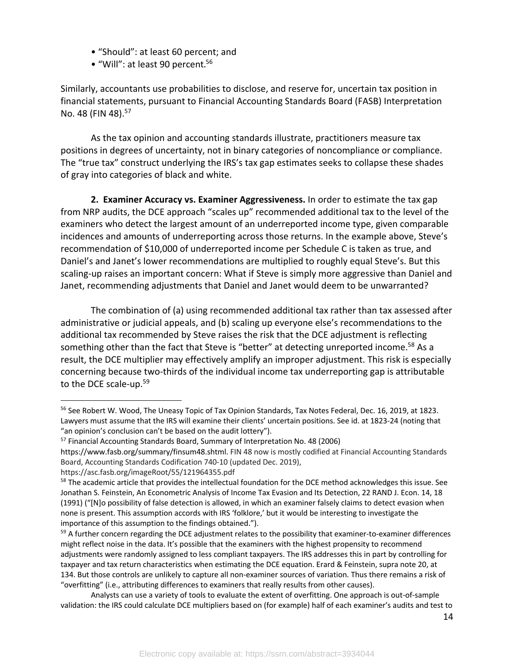- "Should": at least 60 percent; and
- "Will": at least 90 percent. 56

Similarly, accountants use probabilities to disclose, and reserve for, uncertain tax position in financial statements, pursuant to Financial Accounting Standards Board (FASB) Interpretation No. 48 (FIN 48). 57

As the tax opinion and accounting standards illustrate, practitioners measure tax positions in degrees of uncertainty, not in binary categories of noncompliance or compliance. The "true tax" construct underlying the IRS's tax gap estimates seeks to collapse these shades of gray into categories of black and white.

**2. Examiner Accuracy vs. Examiner Aggressiveness.** In order to estimate the tax gap from NRP audits, the DCE approach "scales up" recommended additional tax to the level of the examiners who detect the largest amount of an underreported income type, given comparable incidences and amounts of underreporting across those returns. In the example above, Steve's recommendation of \$10,000 of underreported income per Schedule C is taken as true, and Daniel's and Janet's lower recommendations are multiplied to roughly equal Steve's. But this scaling-up raises an important concern: What if Steve is simply more aggressive than Daniel and Janet, recommending adjustments that Daniel and Janet would deem to be unwarranted?

The combination of (a) using recommended additional tax rather than tax assessed after administrative or judicial appeals, and (b) scaling up everyone else's recommendations to the additional tax recommended by Steve raises the risk that the DCE adjustment is reflecting something other than the fact that Steve is "better" at detecting unreported income.<sup>58</sup> As a result, the DCE multiplier may effectively amplify an improper adjustment. This risk is especially concerning because two-thirds of the individual income tax underreporting gap is attributable to the DCE scale-up.59

<sup>56</sup> See Robert W. Wood, The Uneasy Topic of Tax Opinion Standards, Tax Notes Federal, Dec. 16, 2019, at 1823. Lawyers must assume that the IRS will examine their clients' uncertain positions. See id. at 1823-24 (noting that "an opinion's conclusion can't be based on the audit lottery").

<sup>&</sup>lt;sup>57</sup> Financial Accounting Standards Board, Summary of Interpretation No. 48 (2006)

https://www.fasb.org/summary/finsum48.shtml. FIN 48 now is mostly codified at Financial Accounting Standards Board, Accounting Standards Codification 740-10 (updated Dec. 2019),

https://asc.fasb.org/imageRoot/55/121964355.pdf

<sup>&</sup>lt;sup>58</sup> The academic article that provides the intellectual foundation for the DCE method acknowledges this issue. See Jonathan S. Feinstein, An Econometric Analysis of Income Tax Evasion and Its Detection, 22 RAND J. Econ. 14, 18 (1991) ("[N]o possibility of false detection is allowed, in which an examiner falsely claims to detect evasion when none is present. This assumption accords with IRS 'folklore,' but it would be interesting to investigate the importance of this assumption to the findings obtained.").

<sup>&</sup>lt;sup>59</sup> A further concern regarding the DCE adjustment relates to the possibility that examiner-to-examiner differences might reflect noise in the data. It's possible that the examiners with the highest propensity to recommend adjustments were randomly assigned to less compliant taxpayers. The IRS addresses this in part by controlling for taxpayer and tax return characteristics when estimating the DCE equation. Erard & Feinstein, supra note 20, at 134. But those controls are unlikely to capture all non-examiner sources of variation. Thus there remains a risk of "overfitting" (i.e., attributing differences to examiners that really results from other causes).

Analysts can use a variety of tools to evaluate the extent of overfitting. One approach is out-of-sample validation: the IRS could calculate DCE multipliers based on (for example) half of each examiner's audits and test to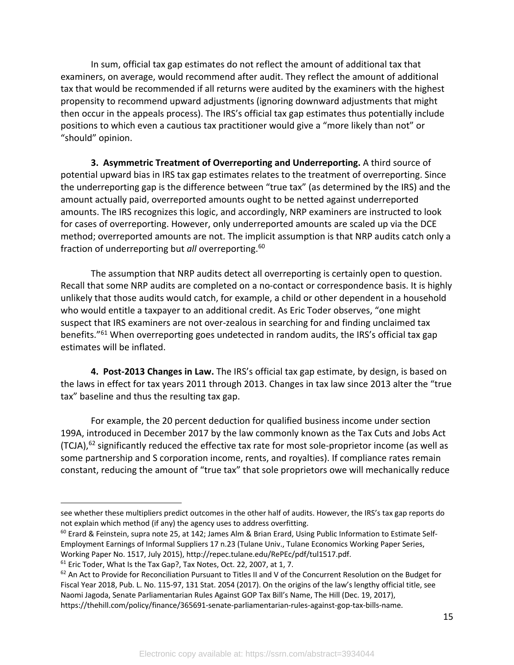In sum, official tax gap estimates do not reflect the amount of additional tax that examiners, on average, would recommend after audit. They reflect the amount of additional tax that would be recommended if all returns were audited by the examiners with the highest propensity to recommend upward adjustments (ignoring downward adjustments that might then occur in the appeals process). The IRS's official tax gap estimates thus potentially include positions to which even a cautious tax practitioner would give a "more likely than not" or "should" opinion.

**3. Asymmetric Treatment of Overreporting and Underreporting.** A third source of potential upward bias in IRS tax gap estimates relates to the treatment of overreporting. Since the underreporting gap is the difference between "true tax" (as determined by the IRS) and the amount actually paid, overreported amounts ought to be netted against underreported amounts. The IRS recognizes this logic, and accordingly, NRP examiners are instructed to look for cases of overreporting. However, only underreported amounts are scaled up via the DCE method; overreported amounts are not. The implicit assumption is that NRP audits catch only a fraction of underreporting but *all* overreporting.60

The assumption that NRP audits detect all overreporting is certainly open to question. Recall that some NRP audits are completed on a no-contact or correspondence basis. It is highly unlikely that those audits would catch, for example, a child or other dependent in a household who would entitle a taxpayer to an additional credit. As Eric Toder observes, "one might suspect that IRS examiners are not over-zealous in searching for and finding unclaimed tax benefits."<sup>61</sup> When overreporting goes undetected in random audits, the IRS's official tax gap estimates will be inflated.

**4. Post-2013 Changes in Law.** The IRS's official tax gap estimate, by design, is based on the laws in effect for tax years 2011 through 2013. Changes in tax law since 2013 alter the "true tax" baseline and thus the resulting tax gap.

For example, the 20 percent deduction for qualified business income under section 199A, introduced in December 2017 by the law commonly known as the Tax Cuts and Jobs Act (TCJA),<sup>62</sup> significantly reduced the effective tax rate for most sole-proprietor income (as well as some partnership and S corporation income, rents, and royalties). If compliance rates remain constant, reducing the amount of "true tax" that sole proprietors owe will mechanically reduce

see whether these multipliers predict outcomes in the other half of audits. However, the IRS's tax gap reports do not explain which method (if any) the agency uses to address overfitting.

 $60$  Erard & Feinstein, supra note 25, at 142; James Alm & Brian Erard, Using Public Information to Estimate Self-Employment Earnings of Informal Suppliers 17 n.23 (Tulane Univ., Tulane Economics Working Paper Series, Working Paper No. 1517, July 2015), http://repec.tulane.edu/RePEc/pdf/tul1517.pdf.

<sup>&</sup>lt;sup>61</sup> Eric Toder, What Is the Tax Gap?, Tax Notes, Oct. 22, 2007, at 1, 7.

 $62$  An Act to Provide for Reconciliation Pursuant to Titles II and V of the Concurrent Resolution on the Budget for Fiscal Year 2018, Pub. L. No. 115-97, 131 Stat. 2054 (2017). On the origins of the law's lengthy official title, see Naomi Jagoda, Senate Parliamentarian Rules Against GOP Tax Bill's Name, The Hill (Dec. 19, 2017), https://thehill.com/policy/finance/365691-senate-parliamentarian-rules-against-gop-tax-bills-name.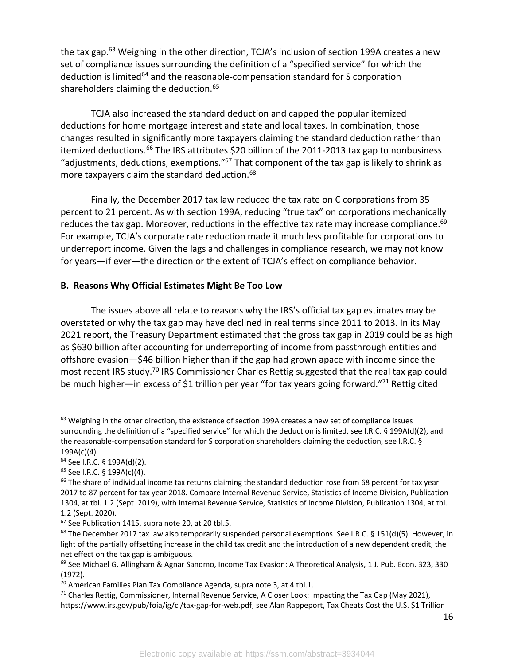the tax gap.<sup>63</sup> Weighing in the other direction, TCJA's inclusion of section 199A creates a new set of compliance issues surrounding the definition of a "specified service" for which the deduction is limited<sup>64</sup> and the reasonable-compensation standard for S corporation shareholders claiming the deduction.<sup>65</sup>

TCJA also increased the standard deduction and capped the popular itemized deductions for home mortgage interest and state and local taxes. In combination, those changes resulted in significantly more taxpayers claiming the standard deduction rather than itemized deductions.<sup>66</sup> The IRS attributes \$20 billion of the 2011-2013 tax gap to nonbusiness "adjustments, deductions, exemptions."67 That component of the tax gap is likely to shrink as more taxpayers claim the standard deduction.<sup>68</sup>

Finally, the December 2017 tax law reduced the tax rate on C corporations from 35 percent to 21 percent. As with section 199A, reducing "true tax" on corporations mechanically reduces the tax gap. Moreover, reductions in the effective tax rate may increase compliance.<sup>69</sup> For example, TCJA's corporate rate reduction made it much less profitable for corporations to underreport income. Given the lags and challenges in compliance research, we may not know for years—if ever—the direction or the extent of TCJA's effect on compliance behavior.

#### **B. Reasons Why Official Estimates Might Be Too Low**

The issues above all relate to reasons why the IRS's official tax gap estimates may be overstated or why the tax gap may have declined in real terms since 2011 to 2013. In its May 2021 report, the Treasury Department estimated that the gross tax gap in 2019 could be as high as \$630 billion after accounting for underreporting of income from passthrough entities and offshore evasion—\$46 billion higher than if the gap had grown apace with income since the most recent IRS study.<sup>70</sup> IRS Commissioner Charles Rettig suggested that the real tax gap could be much higher—in excess of \$1 trillion per year "for tax years going forward."<sup>71</sup> Rettig cited

<sup>&</sup>lt;sup>63</sup> Weighing in the other direction, the existence of section 199A creates a new set of compliance issues surrounding the definition of a "specified service" for which the deduction is limited, see I.R.C. § 199A(d)(2), and the reasonable-compensation standard for S corporation shareholders claiming the deduction, see I.R.C. § 199A(c)(4).

<sup>64</sup> See I.R.C. § 199A(d)(2).

<sup>65</sup> See I.R.C. § 199A(c)(4).

<sup>&</sup>lt;sup>66</sup> The share of individual income tax returns claiming the standard deduction rose from 68 percent for tax year 2017 to 87 percent for tax year 2018. Compare Internal Revenue Service, Statistics of Income Division, Publication 1304, at tbl. 1.2 (Sept. 2019), with Internal Revenue Service, Statistics of Income Division, Publication 1304, at tbl. 1.2 (Sept. 2020).

<sup>&</sup>lt;sup>67</sup> See Publication 1415, supra note 20, at 20 tbl.5.

 $68$  The December 2017 tax law also temporarily suspended personal exemptions. See I.R.C. § 151(d)(5). However, in light of the partially offsetting increase in the child tax credit and the introduction of a new dependent credit, the net effect on the tax gap is ambiguous.

<sup>&</sup>lt;sup>69</sup> See Michael G. Allingham & Agnar Sandmo, Income Tax Evasion: A Theoretical Analysis, 1 J. Pub. Econ. 323, 330 (1972).

 $70$  American Families Plan Tax Compliance Agenda, supra note 3, at 4 tbl.1.

 $71$  Charles Rettig, Commissioner, Internal Revenue Service, A Closer Look: Impacting the Tax Gap (May 2021), https://www.irs.gov/pub/foia/ig/cl/tax-gap-for-web.pdf; see Alan Rappeport, Tax Cheats Cost the U.S. \$1 Trillion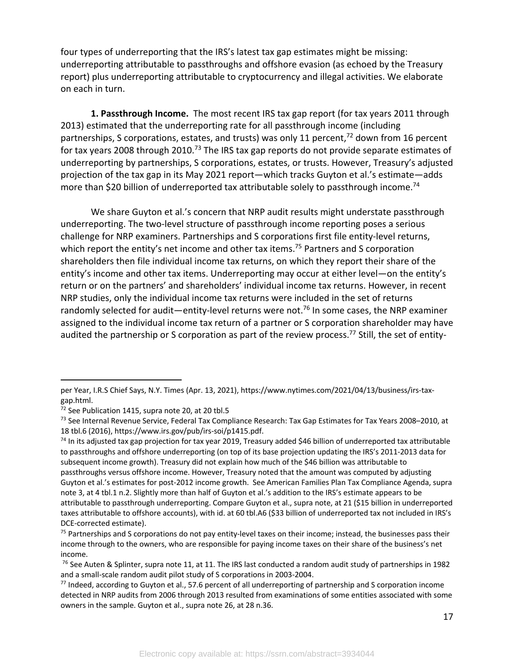four types of underreporting that the IRS's latest tax gap estimates might be missing: underreporting attributable to passthroughs and offshore evasion (as echoed by the Treasury report) plus underreporting attributable to cryptocurrency and illegal activities. We elaborate on each in turn.

**1. Passthrough Income.** The most recent IRS tax gap report (for tax years 2011 through 2013) estimated that the underreporting rate for all passthrough income (including partnerships, S corporations, estates, and trusts) was only 11 percent,  $72$  down from 16 percent for tax years 2008 through 2010.<sup>73</sup> The IRS tax gap reports do not provide separate estimates of underreporting by partnerships, S corporations, estates, or trusts. However, Treasury's adjusted projection of the tax gap in its May 2021 report—which tracks Guyton et al.'s estimate—adds more than \$20 billion of underreported tax attributable solely to passthrough income.<sup>74</sup>

We share Guyton et al.'s concern that NRP audit results might understate passthrough underreporting. The two-level structure of passthrough income reporting poses a serious challenge for NRP examiners. Partnerships and S corporations first file entity-level returns, which report the entity's net income and other tax items.<sup>75</sup> Partners and S corporation shareholders then file individual income tax returns, on which they report their share of the entity's income and other tax items. Underreporting may occur at either level—on the entity's return or on the partners' and shareholders' individual income tax returns. However, in recent NRP studies, only the individual income tax returns were included in the set of returns randomly selected for audit—entity-level returns were not.<sup>76</sup> In some cases, the NRP examiner assigned to the individual income tax return of a partner or S corporation shareholder may have audited the partnership or S corporation as part of the review process.<sup>77</sup> Still, the set of entity-

per Year, I.R.S Chief Says, N.Y. Times (Apr. 13, 2021), https://www.nytimes.com/2021/04/13/business/irs-taxgap.html.

<sup>72</sup> See Publication 1415, supra note 20, at 20 tbl.5

<sup>73</sup> See Internal Revenue Service, Federal Tax Compliance Research: Tax Gap Estimates for Tax Years 2008-2010, at 18 tbl.6 (2016), https://www.irs.gov/pub/irs-soi/p1415.pdf.

 $74$  In its adjusted tax gap projection for tax year 2019, Treasury added \$46 billion of underreported tax attributable to passthroughs and offshore underreporting (on top of its base projection updating the IRS's 2011-2013 data for subsequent income growth). Treasury did not explain how much of the \$46 billion was attributable to passthroughs versus offshore income. However, Treasury noted that the amount was computed by adjusting Guyton et al.'s estimates for post-2012 income growth. See American Families Plan Tax Compliance Agenda, supra note 3, at 4 tbl.1 n.2. Slightly more than half of Guyton et al.'s addition to the IRS's estimate appears to be attributable to passthrough underreporting. Compare Guyton et al., supra note, at 21 (\$15 billion in underreported taxes attributable to offshore accounts), with id. at 60 tbl.A6 (\$33 billion of underreported tax not included in IRS's DCE-corrected estimate).

 $75$  Partnerships and S corporations do not pay entity-level taxes on their income; instead, the businesses pass their income through to the owners, who are responsible for paying income taxes on their share of the business's net income.

 $76$  See Auten & Splinter, supra note 11, at 11. The IRS last conducted a random audit study of partnerships in 1982 and a small-scale random audit pilot study of S corporations in 2003-2004.

 $^{77}$  Indeed, according to Guyton et al., 57.6 percent of all underreporting of partnership and S corporation income detected in NRP audits from 2006 through 2013 resulted from examinations of some entities associated with some owners in the sample. Guyton et al., supra note 26, at 28 n.36.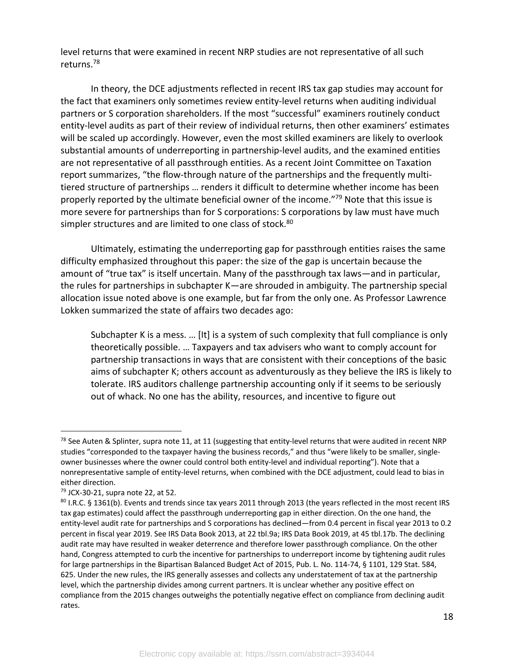level returns that were examined in recent NRP studies are not representative of all such returns.78

In theory, the DCE adjustments reflected in recent IRS tax gap studies may account for the fact that examiners only sometimes review entity-level returns when auditing individual partners or S corporation shareholders. If the most "successful" examiners routinely conduct entity-level audits as part of their review of individual returns, then other examiners' estimates will be scaled up accordingly. However, even the most skilled examiners are likely to overlook substantial amounts of underreporting in partnership-level audits, and the examined entities are not representative of all passthrough entities. As a recent Joint Committee on Taxation report summarizes, "the flow-through nature of the partnerships and the frequently multitiered structure of partnerships … renders it difficult to determine whether income has been properly reported by the ultimate beneficial owner of the income."79 Note that this issue is more severe for partnerships than for S corporations: S corporations by law must have much simpler structures and are limited to one class of stock.<sup>80</sup>

Ultimately, estimating the underreporting gap for passthrough entities raises the same difficulty emphasized throughout this paper: the size of the gap is uncertain because the amount of "true tax" is itself uncertain. Many of the passthrough tax laws—and in particular, the rules for partnerships in subchapter K—are shrouded in ambiguity. The partnership special allocation issue noted above is one example, but far from the only one. As Professor Lawrence Lokken summarized the state of affairs two decades ago:

Subchapter K is a mess. … [It] is a system of such complexity that full compliance is only theoretically possible. … Taxpayers and tax advisers who want to comply account for partnership transactions in ways that are consistent with their conceptions of the basic aims of subchapter K; others account as adventurously as they believe the IRS is likely to tolerate. IRS auditors challenge partnership accounting only if it seems to be seriously out of whack. No one has the ability, resources, and incentive to figure out

 $^{78}$  See Auten & Splinter, supra note 11, at 11 (suggesting that entity-level returns that were audited in recent NRP studies "corresponded to the taxpayer having the business records," and thus "were likely to be smaller, singleowner businesses where the owner could control both entity-level and individual reporting"). Note that a nonrepresentative sample of entity-level returns, when combined with the DCE adjustment, could lead to bias in either direction.

<sup>79</sup> JCX-30-21, supra note 22, at 52.

<sup>80</sup> I.R.C. § 1361(b). Events and trends since tax years 2011 through 2013 (the years reflected in the most recent IRS tax gap estimates) could affect the passthrough underreporting gap in either direction. On the one hand, the entity-level audit rate for partnerships and S corporations has declined—from 0.4 percent in fiscal year 2013 to 0.2 percent in fiscal year 2019. See IRS Data Book 2013, at 22 tbl.9a; IRS Data Book 2019, at 45 tbl.17b. The declining audit rate may have resulted in weaker deterrence and therefore lower passthrough compliance. On the other hand, Congress attempted to curb the incentive for partnerships to underreport income by tightening audit rules for large partnerships in the Bipartisan Balanced Budget Act of 2015, Pub. L. No. 114-74, § 1101, 129 Stat. 584, 625. Under the new rules, the IRS generally assesses and collects any understatement of tax at the partnership level, which the partnership divides among current partners. It is unclear whether any positive effect on compliance from the 2015 changes outweighs the potentially negative effect on compliance from declining audit rates.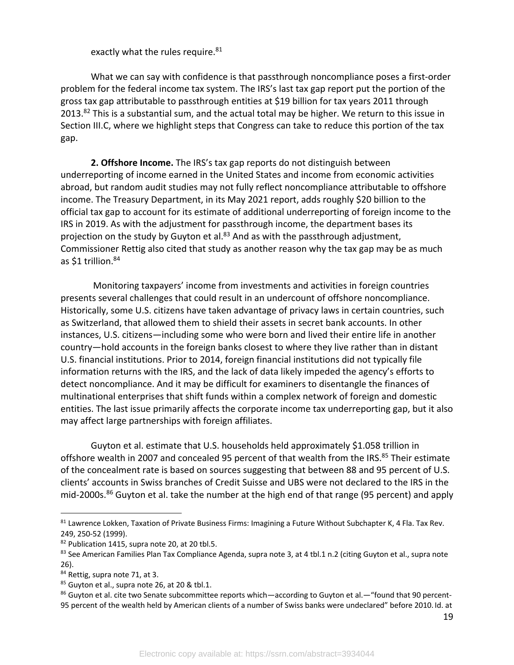exactly what the rules require.<sup>81</sup>

What we can say with confidence is that passthrough noncompliance poses a first-order problem for the federal income tax system. The IRS's last tax gap report put the portion of the gross tax gap attributable to passthrough entities at \$19 billion for tax years 2011 through  $2013.<sup>82</sup>$  This is a substantial sum, and the actual total may be higher. We return to this issue in Section III.C, where we highlight steps that Congress can take to reduce this portion of the tax gap.

**2. Offshore Income.** The IRS's tax gap reports do not distinguish between underreporting of income earned in the United States and income from economic activities abroad, but random audit studies may not fully reflect noncompliance attributable to offshore income. The Treasury Department, in its May 2021 report, adds roughly \$20 billion to the official tax gap to account for its estimate of additional underreporting of foreign income to the IRS in 2019. As with the adjustment for passthrough income, the department bases its projection on the study by Guyton et al.<sup>83</sup> And as with the passthrough adjustment, Commissioner Rettig also cited that study as another reason why the tax gap may be as much as \$1 trillion.<sup>84</sup>

Monitoring taxpayers' income from investments and activities in foreign countries presents several challenges that could result in an undercount of offshore noncompliance. Historically, some U.S. citizens have taken advantage of privacy laws in certain countries, such as Switzerland, that allowed them to shield their assets in secret bank accounts. In other instances, U.S. citizens—including some who were born and lived their entire life in another country—hold accounts in the foreign banks closest to where they live rather than in distant U.S. financial institutions. Prior to 2014, foreign financial institutions did not typically file information returns with the IRS, and the lack of data likely impeded the agency's efforts to detect noncompliance. And it may be difficult for examiners to disentangle the finances of multinational enterprises that shift funds within a complex network of foreign and domestic entities. The last issue primarily affects the corporate income tax underreporting gap, but it also may affect large partnerships with foreign affiliates.

Guyton et al. estimate that U.S. households held approximately \$1.058 trillion in offshore wealth in 2007 and concealed 95 percent of that wealth from the IRS.<sup>85</sup> Their estimate of the concealment rate is based on sources suggesting that between 88 and 95 percent of U.S. clients' accounts in Swiss branches of Credit Suisse and UBS were not declared to the IRS in the mid-2000s. <sup>86</sup> Guyton et al. take the number at the high end of that range (95 percent) and apply

<sup>81</sup> Lawrence Lokken, Taxation of Private Business Firms: Imagining a Future Without Subchapter K, 4 Fla. Tax Rev. 249, 250-52 (1999).

<sup>82</sup> Publication 1415, supra note 20, at 20 tbl.5.

 $83$  See American Families Plan Tax Compliance Agenda, supra note 3, at 4 tbl.1 n.2 (citing Guyton et al., supra note 26).

<sup>84</sup> Rettig, supra note 71, at 3.

<sup>85</sup> Guyton et al., supra note 26, at 20 & tbl.1.

<sup>86</sup> Guyton et al. cite two Senate subcommittee reports which—according to Guyton et al.—"found that 90 percent-95 percent of the wealth held by American clients of a number of Swiss banks were undeclared" before 2010. Id. at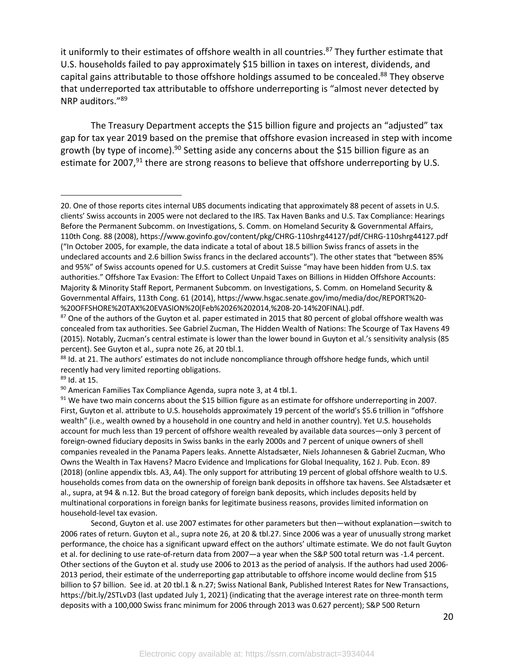it uniformly to their estimates of offshore wealth in all countries.<sup>87</sup> They further estimate that U.S. households failed to pay approximately \$15 billion in taxes on interest, dividends, and capital gains attributable to those offshore holdings assumed to be concealed.<sup>88</sup> They observe that underreported tax attributable to offshore underreporting is "almost never detected by NRP auditors."89

The Treasury Department accepts the \$15 billion figure and projects an "adjusted" tax gap for tax year 2019 based on the premise that offshore evasion increased in step with income growth (by type of income). <sup>90</sup> Setting aside any concerns about the \$15 billion figure as an estimate for 2007,<sup>91</sup> there are strong reasons to believe that offshore underreporting by U.S.

<sup>89</sup> Id. at 15.

Second, Guyton et al. use 2007 estimates for other parameters but then—without explanation—switch to 2006 rates of return. Guyton et al., supra note 26, at 20 & tbl.27. Since 2006 was a year of unusually strong market performance, the choice has a significant upward effect on the authors' ultimate estimate. We do not fault Guyton et al. for declining to use rate-of-return data from 2007—a year when the S&P 500 total return was -1.4 percent. Other sections of the Guyton et al. study use 2006 to 2013 as the period of analysis. If the authors had used 2006- 2013 period, their estimate of the underreporting gap attributable to offshore income would decline from \$15 billion to \$7 billion. See id. at 20 tbl.1 & n.27; Swiss National Bank, Published Interest Rates for New Transactions, https://bit.ly/2STLvD3 (last updated July 1, 2021) (indicating that the average interest rate on three-month term deposits with a 100,000 Swiss franc minimum for 2006 through 2013 was 0.627 percent); S&P 500 Return

<sup>20.</sup> One of those reports cites internal UBS documents indicating that approximately 88 pecent of assets in U.S. clients' Swiss accounts in 2005 were not declared to the IRS. Tax Haven Banks and U.S. Tax Compliance: Hearings Before the Permanent Subcomm. on Investigations, S. Comm. on Homeland Security & Governmental Affairs, 110th Cong. 88 (2008), https://www.govinfo.gov/content/pkg/CHRG-110shrg44127/pdf/CHRG-110shrg44127.pdf ("In October 2005, for example, the data indicate a total of about 18.5 billion Swiss francs of assets in the undeclared accounts and 2.6 billion Swiss francs in the declared accounts"). The other states that "between 85% and 95%" of Swiss accounts opened for U.S. customers at Credit Suisse "may have been hidden from U.S. tax authorities." Offshore Tax Evasion: The Effort to Collect Unpaid Taxes on Billions in Hidden Offshore Accounts: Majority & Minority Staff Report, Permanent Subcomm. on Investigations, S. Comm. on Homeland Security & Governmental Affairs, 113th Cong. 61 (2014), https://www.hsgac.senate.gov/imo/media/doc/REPORT%20- %20OFFSHORE%20TAX%20EVASION%20(Feb%2026%202014,%208-20-14%20FINAL).pdf.

<sup>&</sup>lt;sup>87</sup> One of the authors of the Guyton et al. paper estimated in 2015 that 80 percent of global offshore wealth was concealed from tax authorities. See Gabriel Zucman, The Hidden Wealth of Nations: The Scourge of Tax Havens 49 (2015). Notably, Zucman's central estimate is lower than the lower bound in Guyton et al.'s sensitivity analysis (85 percent). See Guyton et al., supra note 26, at 20 tbl.1.<br><sup>88</sup> Id. at 21. The authors' estimates do not include noncompliance through offshore hedge funds, which until

recently had very limited reporting obligations.

 $90$  American Families Tax Compliance Agenda, supra note 3, at 4 tbl.1.

 $91$  We have two main concerns about the \$15 billion figure as an estimate for offshore underreporting in 2007. First, Guyton et al. attribute to U.S. households approximately 19 percent of the world's \$5.6 trillion in "offshore wealth" (i.e., wealth owned by a household in one country and held in another country). Yet U.S. households account for much less than 19 percent of offshore wealth revealed by available data sources—only 3 percent of foreign-owned fiduciary deposits in Swiss banks in the early 2000s and 7 percent of unique owners of shell companies revealed in the Panama Papers leaks. Annette Alstadsæter, Niels Johannesen & Gabriel Zucman, Who Owns the Wealth in Tax Havens? Macro Evidence and Implications for Global Inequality, 162 J. Pub. Econ. 89 (2018) (online appendix tbls. A3, A4). The only support for attributing 19 percent of global offshore wealth to U.S. households comes from data on the ownership of foreign bank deposits in offshore tax havens. See Alstadsæter et al., supra, at 94 & n.12. But the broad category of foreign bank deposits, which includes deposits held by multinational corporations in foreign banks for legitimate business reasons, provides limited information on household-level tax evasion.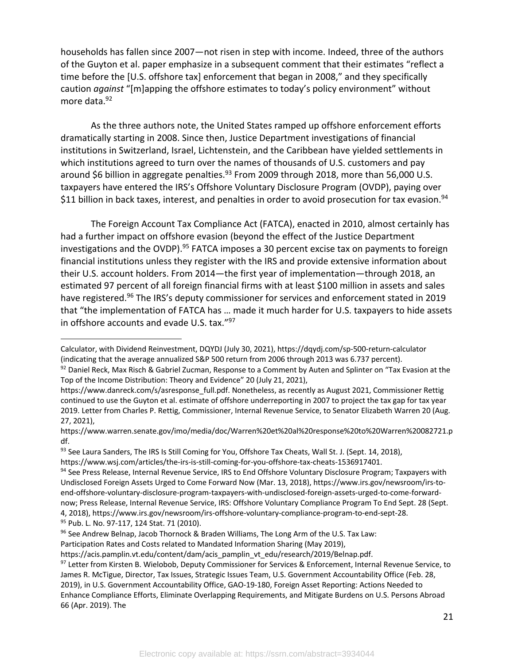households has fallen since 2007—not risen in step with income. Indeed, three of the authors of the Guyton et al. paper emphasize in a subsequent comment that their estimates "reflect a time before the [U.S. offshore tax] enforcement that began in 2008," and they specifically caution *against* "[m]apping the offshore estimates to today's policy environment" without more data.<sup>92</sup>

As the three authors note, the United States ramped up offshore enforcement efforts dramatically starting in 2008. Since then, Justice Department investigations of financial institutions in Switzerland, Israel, Lichtenstein, and the Caribbean have yielded settlements in which institutions agreed to turn over the names of thousands of U.S. customers and pay around \$6 billion in aggregate penalties. $93$  From 2009 through 2018, more than 56,000 U.S. taxpayers have entered the IRS's Offshore Voluntary Disclosure Program (OVDP), paying over \$11 billion in back taxes, interest, and penalties in order to avoid prosecution for tax evasion.<sup>94</sup>

The Foreign Account Tax Compliance Act (FATCA), enacted in 2010, almost certainly has had a further impact on offshore evasion (beyond the effect of the Justice Department investigations and the OVDP).<sup>95</sup> FATCA imposes a 30 percent excise tax on payments to foreign financial institutions unless they register with the IRS and provide extensive information about their U.S. account holders. From 2014—the first year of implementation—through 2018, an estimated 97 percent of all foreign financial firms with at least \$100 million in assets and sales have registered.<sup>96</sup> The IRS's deputy commissioner for services and enforcement stated in 2019 that "the implementation of FATCA has … made it much harder for U.S. taxpayers to hide assets in offshore accounts and evade U.S. tax."97

95 Pub. L. No. 97-117, 124 Stat. 71 (2010).

Participation Rates and Costs related to Mandated Information Sharing (May 2019),

Calculator, with Dividend Reinvestment, DQYDJ (July 30, 2021), https://dqydj.com/sp-500-return-calculator (indicating that the average annualized S&P 500 return from 2006 through 2013 was 6.737 percent).

<sup>92</sup> Daniel Reck, Max Risch & Gabriel Zucman, Response to a Comment by Auten and Splinter on "Tax Evasion at the Top of the Income Distribution: Theory and Evidence" 20 (July 21, 2021),

https://www.danreck.com/s/asresponse\_full.pdf. Nonetheless, as recently as August 2021, Commissioner Rettig continued to use the Guyton et al. estimate of offshore underreporting in 2007 to project the tax gap for tax year 2019. Letter from Charles P. Rettig, Commissioner, Internal Revenue Service, to Senator Elizabeth Warren 20 (Aug. 27, 2021),

https://www.warren.senate.gov/imo/media/doc/Warren%20et%20al%20response%20to%20Warren%20082721.p df.

<sup>93</sup> See Laura Sanders, The IRS Is Still Coming for You, Offshore Tax Cheats, Wall St. J. (Sept. 14, 2018), https://www.wsj.com/articles/the-irs-is-still-coming-for-you-offshore-tax-cheats-1536917401.

<sup>94</sup> See Press Release, Internal Revenue Service, IRS to End Offshore Voluntary Disclosure Program; Taxpayers with Undisclosed Foreign Assets Urged to Come Forward Now (Mar. 13, 2018), https://www.irs.gov/newsroom/irs-toend-offshore-voluntary-disclosure-program-taxpayers-with-undisclosed-foreign-assets-urged-to-come-forwardnow; Press Release, Internal Revenue Service, IRS: Offshore Voluntary Compliance Program To End Sept. 28 (Sept. 4, 2018), https://www.irs.gov/newsroom/irs-offshore-voluntary-compliance-program-to-end-sept-28.

<sup>96</sup> See Andrew Belnap, Jacob Thornock & Braden Williams, The Long Arm of the U.S. Tax Law:

https://acis.pamplin.vt.edu/content/dam/acis\_pamplin\_vt\_edu/research/2019/Belnap.pdf.

<sup>97</sup> Letter from Kirsten B. Wielobob, Deputy Commissioner for Services & Enforcement, Internal Revenue Service, to James R. McTigue, Director, Tax Issues, Strategic Issues Team, U.S. Government Accountability Office (Feb. 28, 2019), in U.S. Government Accountability Office, GAO-19-180, Foreign Asset Reporting: Actions Needed to Enhance Compliance Efforts, Eliminate Overlapping Requirements, and Mitigate Burdens on U.S. Persons Abroad 66 (Apr. 2019). The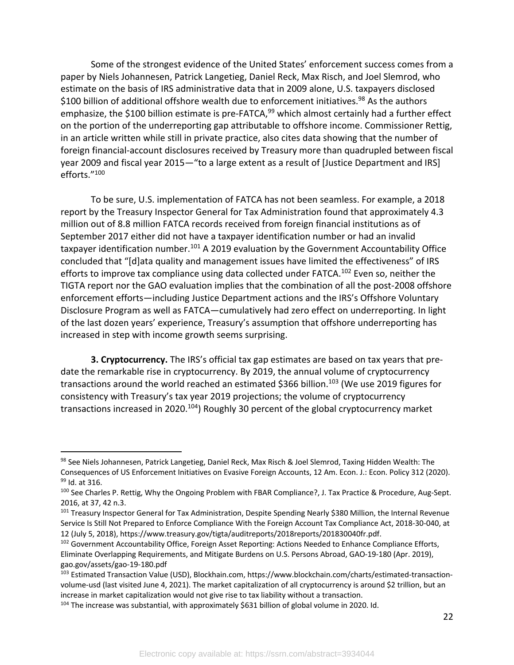Some of the strongest evidence of the United States' enforcement success comes from a paper by Niels Johannesen, Patrick Langetieg, Daniel Reck, Max Risch, and Joel Slemrod, who estimate on the basis of IRS administrative data that in 2009 alone, U.S. taxpayers disclosed \$100 billion of additional offshore wealth due to enforcement initiatives. $98$  As the authors emphasize, the \$100 billion estimate is pre-FATCA,<sup>99</sup> which almost certainly had a further effect on the portion of the underreporting gap attributable to offshore income. Commissioner Rettig, in an article written while still in private practice, also cites data showing that the number of foreign financial-account disclosures received by Treasury more than quadrupled between fiscal year 2009 and fiscal year 2015—"to a large extent as a result of [Justice Department and IRS] efforts."100

To be sure, U.S. implementation of FATCA has not been seamless. For example, a 2018 report by the Treasury Inspector General for Tax Administration found that approximately 4.3 million out of 8.8 million FATCA records received from foreign financial institutions as of September 2017 either did not have a taxpayer identification number or had an invalid taxpayer identification number.<sup>101</sup> A 2019 evaluation by the Government Accountability Office concluded that "[d]ata quality and management issues have limited the effectiveness" of IRS efforts to improve tax compliance using data collected under FATCA.<sup>102</sup> Even so, neither the TIGTA report nor the GAO evaluation implies that the combination of all the post-2008 offshore enforcement efforts—including Justice Department actions and the IRS's Offshore Voluntary Disclosure Program as well as FATCA—cumulatively had zero effect on underreporting. In light of the last dozen years' experience, Treasury's assumption that offshore underreporting has increased in step with income growth seems surprising.

**3. Cryptocurrency.** The IRS's official tax gap estimates are based on tax years that predate the remarkable rise in cryptocurrency. By 2019, the annual volume of cryptocurrency transactions around the world reached an estimated \$366 billion.<sup>103</sup> (We use 2019 figures for consistency with Treasury's tax year 2019 projections; the volume of cryptocurrency transactions increased in 2020.<sup>104</sup>) Roughly 30 percent of the global cryptocurrency market

<sup>98</sup> See Niels Johannesen, Patrick Langetieg, Daniel Reck, Max Risch & Joel Slemrod, Taxing Hidden Wealth: The Consequences of US Enforcement Initiatives on Evasive Foreign Accounts, 12 Am. Econ. J.: Econ. Policy 312 (2020). 99 Id. at 316.

<sup>100</sup> See Charles P. Rettig, Why the Ongoing Problem with FBAR Compliance?, J. Tax Practice & Procedure, Aug-Sept. 2016, at 37, 42 n.3.

<sup>&</sup>lt;sup>101</sup> Treasury Inspector General for Tax Administration, Despite Spending Nearly \$380 Million, the Internal Revenue Service Is Still Not Prepared to Enforce Compliance With the Foreign Account Tax Compliance Act, 2018-30-040, at 12 (July 5, 2018), https://www.treasury.gov/tigta/auditreports/2018reports/201830040fr.pdf.

<sup>&</sup>lt;sup>102</sup> Government Accountability Office, Foreign Asset Reporting: Actions Needed to Enhance Compliance Efforts, Eliminate Overlapping Requirements, and Mitigate Burdens on U.S. Persons Abroad, GAO-19-180 (Apr. 2019), gao.gov/assets/gao-19-180.pdf

<sup>103</sup> Estimated Transaction Value (USD), Blockhain.com, https://www.blockchain.com/charts/estimated-transactionvolume-usd (last visited June 4, 2021). The market capitalization of all cryptocurrency is around \$2 trillion, but an increase in market capitalization would not give rise to tax liability without a transaction.

<sup>&</sup>lt;sup>104</sup> The increase was substantial, with approximately \$631 billion of global volume in 2020. Id.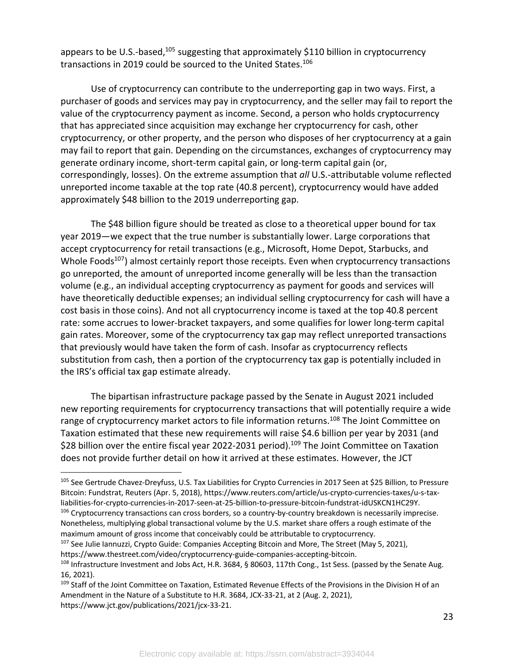appears to be U.S.-based,<sup>105</sup> suggesting that approximately \$110 billion in cryptocurrency transactions in 2019 could be sourced to the United States.106

Use of cryptocurrency can contribute to the underreporting gap in two ways. First, a purchaser of goods and services may pay in cryptocurrency, and the seller may fail to report the value of the cryptocurrency payment as income. Second, a person who holds cryptocurrency that has appreciated since acquisition may exchange her cryptocurrency for cash, other cryptocurrency, or other property, and the person who disposes of her cryptocurrency at a gain may fail to report that gain. Depending on the circumstances, exchanges of cryptocurrency may generate ordinary income, short-term capital gain, or long-term capital gain (or, correspondingly, losses). On the extreme assumption that *all* U.S.-attributable volume reflected unreported income taxable at the top rate (40.8 percent), cryptocurrency would have added approximately \$48 billion to the 2019 underreporting gap.

The \$48 billion figure should be treated as close to a theoretical upper bound for tax year 2019—we expect that the true number is substantially lower. Large corporations that accept cryptocurrency for retail transactions (e.g., Microsoft, Home Depot, Starbucks, and Whole Foods $107$ ) almost certainly report those receipts. Even when cryptocurrency transactions go unreported, the amount of unreported income generally will be less than the transaction volume (e.g., an individual accepting cryptocurrency as payment for goods and services will have theoretically deductible expenses; an individual selling cryptocurrency for cash will have a cost basis in those coins). And not all cryptocurrency income is taxed at the top 40.8 percent rate: some accrues to lower-bracket taxpayers, and some qualifies for lower long-term capital gain rates. Moreover, some of the cryptocurrency tax gap may reflect unreported transactions that previously would have taken the form of cash. Insofar as cryptocurrency reflects substitution from cash, then a portion of the cryptocurrency tax gap is potentially included in the IRS's official tax gap estimate already.

The bipartisan infrastructure package passed by the Senate in August 2021 included new reporting requirements for cryptocurrency transactions that will potentially require a wide range of cryptocurrency market actors to file information returns.<sup>108</sup> The Joint Committee on Taxation estimated that these new requirements will raise \$4.6 billion per year by 2031 (and \$28 billion over the entire fiscal year 2022-2031 period).<sup>109</sup> The Joint Committee on Taxation does not provide further detail on how it arrived at these estimates. However, the JCT

https://www.thestreet.com/video/cryptocurrency-guide-companies-accepting-bitcoin.

<sup>105</sup> See Gertrude Chavez-Dreyfuss, U.S. Tax Liabilities for Crypto Currencies in 2017 Seen at \$25 Billion, to Pressure Bitcoin: Fundstrat, Reuters (Apr. 5, 2018), https://www.reuters.com/article/us-crypto-currencies-taxes/u-s-taxliabilities-for-crypto-currencies-in-2017-seen-at-25-billion-to-pressure-bitcoin-fundstrat-idUSKCN1HC29Y.

<sup>&</sup>lt;sup>106</sup> Cryptocurrency transactions can cross borders, so a country-by-country breakdown is necessarily imprecise. Nonetheless, multiplying global transactional volume by the U.S. market share offers a rough estimate of the maximum amount of gross income that conceivably could be attributable to cryptocurrency.

<sup>&</sup>lt;sup>107</sup> See Julie Iannuzzi, Crypto Guide: Companies Accepting Bitcoin and More, The Street (May 5, 2021),

<sup>&</sup>lt;sup>108</sup> Infrastructure Investment and Jobs Act, H.R. 3684, § 80603, 117th Cong., 1st Sess. (passed by the Senate Aug. 16, 2021).

<sup>109</sup> Staff of the Joint Committee on Taxation, Estimated Revenue Effects of the Provisions in the Division H of an Amendment in the Nature of a Substitute to H.R. 3684, JCX-33-21, at 2 (Aug. 2, 2021), https://www.jct.gov/publications/2021/jcx-33-21.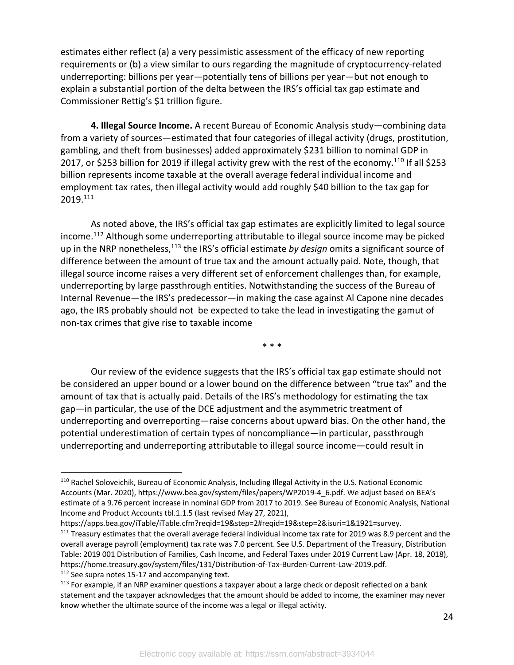estimates either reflect (a) a very pessimistic assessment of the efficacy of new reporting requirements or (b) a view similar to ours regarding the magnitude of cryptocurrency-related underreporting: billions per year—potentially tens of billions per year—but not enough to explain a substantial portion of the delta between the IRS's official tax gap estimate and Commissioner Rettig's \$1 trillion figure.

**4. Illegal Source Income.** A recent Bureau of Economic Analysis study—combining data from a variety of sources—estimated that four categories of illegal activity (drugs, prostitution, gambling, and theft from businesses) added approximately \$231 billion to nominal GDP in 2017, or \$253 billion for 2019 if illegal activity grew with the rest of the economy.110 If all \$253 billion represents income taxable at the overall average federal individual income and employment tax rates, then illegal activity would add roughly \$40 billion to the tax gap for 2019.111

As noted above, the IRS's official tax gap estimates are explicitly limited to legal source income.112 Although some underreporting attributable to illegal source income may be picked up in the NRP nonetheless,113 the IRS's official estimate *by design* omits a significant source of difference between the amount of true tax and the amount actually paid. Note, though, that illegal source income raises a very different set of enforcement challenges than, for example, underreporting by large passthrough entities. Notwithstanding the success of the Bureau of Internal Revenue—the IRS's predecessor—in making the case against Al Capone nine decades ago, the IRS probably should not be expected to take the lead in investigating the gamut of non-tax crimes that give rise to taxable income

\* \* \*

Our review of the evidence suggests that the IRS's official tax gap estimate should not be considered an upper bound or a lower bound on the difference between "true tax" and the amount of tax that is actually paid. Details of the IRS's methodology for estimating the tax gap—in particular, the use of the DCE adjustment and the asymmetric treatment of underreporting and overreporting—raise concerns about upward bias. On the other hand, the potential underestimation of certain types of noncompliance—in particular, passthrough underreporting and underreporting attributable to illegal source income—could result in

https://apps.bea.gov/iTable/iTable.cfm?reqid=19&step=2#reqid=19&step=2&isuri=1&1921=survey.

<sup>110</sup> Rachel Soloveichik, Bureau of Economic Analysis, Including Illegal Activity in the U.S. National Economic Accounts (Mar. 2020), https://www.bea.gov/system/files/papers/WP2019-4\_6.pdf. We adjust based on BEA's estimate of a 9.76 percent increase in nominal GDP from 2017 to 2019. See Bureau of Economic Analysis, National Income and Product Accounts tbl.1.1.5 (last revised May 27, 2021),

<sup>&</sup>lt;sup>111</sup> Treasury estimates that the overall average federal individual income tax rate for 2019 was 8.9 percent and the overall average payroll (employment) tax rate was 7.0 percent. See U.S. Department of the Treasury, Distribution Table: 2019 001 Distribution of Families, Cash Income, and Federal Taxes under 2019 Current Law (Apr. 18, 2018), https://home.treasury.gov/system/files/131/Distribution-of-Tax-Burden-Current-Law-2019.pdf.

<sup>&</sup>lt;sup>112</sup> See supra notes 15-17 and accompanying text.

<sup>&</sup>lt;sup>113</sup> For example, if an NRP examiner questions a taxpayer about a large check or deposit reflected on a bank statement and the taxpayer acknowledges that the amount should be added to income, the examiner may never know whether the ultimate source of the income was a legal or illegal activity.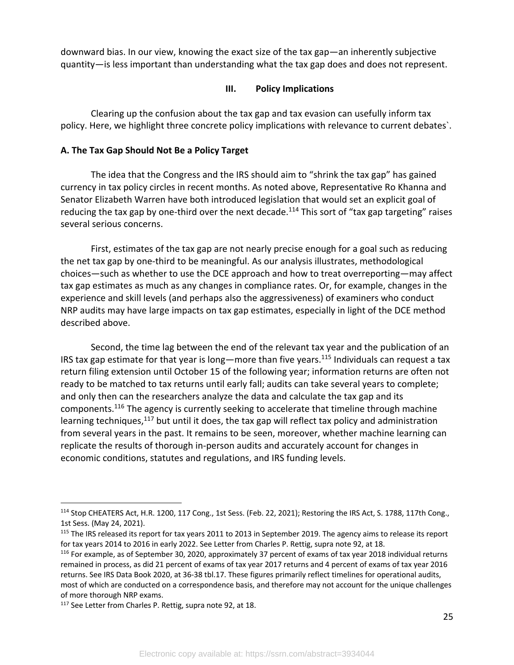downward bias. In our view, knowing the exact size of the tax gap—an inherently subjective quantity—is less important than understanding what the tax gap does and does not represent.

#### **III. Policy Implications**

Clearing up the confusion about the tax gap and tax evasion can usefully inform tax policy. Here, we highlight three concrete policy implications with relevance to current debates`.

## **A. The Tax Gap Should Not Be a Policy Target**

The idea that the Congress and the IRS should aim to "shrink the tax gap" has gained currency in tax policy circles in recent months. As noted above, Representative Ro Khanna and Senator Elizabeth Warren have both introduced legislation that would set an explicit goal of reducing the tax gap by one-third over the next decade.<sup>114</sup> This sort of "tax gap targeting" raises several serious concerns.

First, estimates of the tax gap are not nearly precise enough for a goal such as reducing the net tax gap by one-third to be meaningful. As our analysis illustrates, methodological choices—such as whether to use the DCE approach and how to treat overreporting—may affect tax gap estimates as much as any changes in compliance rates. Or, for example, changes in the experience and skill levels (and perhaps also the aggressiveness) of examiners who conduct NRP audits may have large impacts on tax gap estimates, especially in light of the DCE method described above.

Second, the time lag between the end of the relevant tax year and the publication of an IRS tax gap estimate for that year is long—more than five years.<sup>115</sup> Individuals can request a tax return filing extension until October 15 of the following year; information returns are often not ready to be matched to tax returns until early fall; audits can take several years to complete; and only then can the researchers analyze the data and calculate the tax gap and its components.<sup>116</sup> The agency is currently seeking to accelerate that timeline through machine learning techniques,<sup>117</sup> but until it does, the tax gap will reflect tax policy and administration from several years in the past. It remains to be seen, moreover, whether machine learning can replicate the results of thorough in-person audits and accurately account for changes in economic conditions, statutes and regulations, and IRS funding levels.

<sup>114</sup> Stop CHEATERS Act, H.R. 1200, 117 Cong., 1st Sess. (Feb. 22, 2021); Restoring the IRS Act, S. 1788, 117th Cong., 1st Sess. (May 24, 2021).

<sup>&</sup>lt;sup>115</sup> The IRS released its report for tax years 2011 to 2013 in September 2019. The agency aims to release its report for tax years 2014 to 2016 in early 2022. See Letter from Charles P. Rettig, supra note 92, at 18.

<sup>&</sup>lt;sup>116</sup> For example, as of September 30, 2020, approximately 37 percent of exams of tax year 2018 individual returns remained in process, as did 21 percent of exams of tax year 2017 returns and 4 percent of exams of tax year 2016 returns. See IRS Data Book 2020, at 36-38 tbl.17. These figures primarily reflect timelines for operational audits, most of which are conducted on a correspondence basis, and therefore may not account for the unique challenges of more thorough NRP exams.

<sup>&</sup>lt;sup>117</sup> See Letter from Charles P. Rettig, supra note 92, at 18.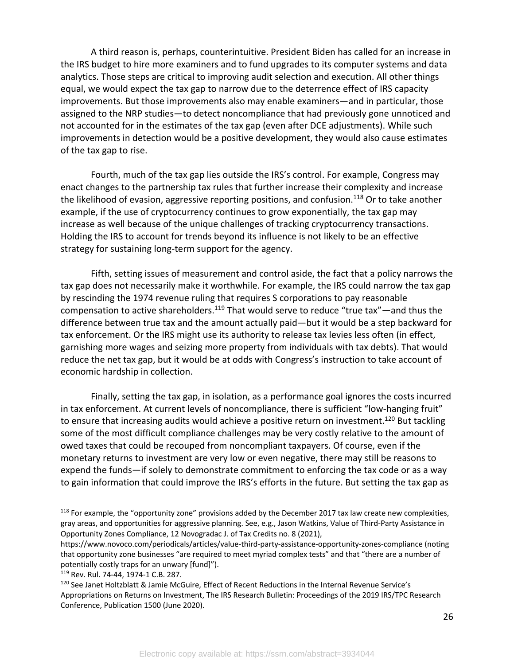A third reason is, perhaps, counterintuitive. President Biden has called for an increase in the IRS budget to hire more examiners and to fund upgrades to its computer systems and data analytics. Those steps are critical to improving audit selection and execution. All other things equal, we would expect the tax gap to narrow due to the deterrence effect of IRS capacity improvements. But those improvements also may enable examiners—and in particular, those assigned to the NRP studies—to detect noncompliance that had previously gone unnoticed and not accounted for in the estimates of the tax gap (even after DCE adjustments). While such improvements in detection would be a positive development, they would also cause estimates of the tax gap to rise.

Fourth, much of the tax gap lies outside the IRS's control. For example, Congress may enact changes to the partnership tax rules that further increase their complexity and increase the likelihood of evasion, aggressive reporting positions, and confusion.<sup>118</sup> Or to take another example, if the use of cryptocurrency continues to grow exponentially, the tax gap may increase as well because of the unique challenges of tracking cryptocurrency transactions. Holding the IRS to account for trends beyond its influence is not likely to be an effective strategy for sustaining long-term support for the agency.

Fifth, setting issues of measurement and control aside, the fact that a policy narrows the tax gap does not necessarily make it worthwhile. For example, the IRS could narrow the tax gap by rescinding the 1974 revenue ruling that requires S corporations to pay reasonable compensation to active shareholders.<sup>119</sup> That would serve to reduce "true tax"—and thus the difference between true tax and the amount actually paid—but it would be a step backward for tax enforcement. Or the IRS might use its authority to release tax levies less often (in effect, garnishing more wages and seizing more property from individuals with tax debts). That would reduce the net tax gap, but it would be at odds with Congress's instruction to take account of economic hardship in collection.

Finally, setting the tax gap, in isolation, as a performance goal ignores the costs incurred in tax enforcement. At current levels of noncompliance, there is sufficient "low-hanging fruit" to ensure that increasing audits would achieve a positive return on investment.<sup>120</sup> But tackling some of the most difficult compliance challenges may be very costly relative to the amount of owed taxes that could be recouped from noncompliant taxpayers. Of course, even if the monetary returns to investment are very low or even negative, there may still be reasons to expend the funds—if solely to demonstrate commitment to enforcing the tax code or as a way to gain information that could improve the IRS's efforts in the future. But setting the tax gap as

<sup>&</sup>lt;sup>118</sup> For example, the "opportunity zone" provisions added by the December 2017 tax law create new complexities, gray areas, and opportunities for aggressive planning. See, e.g., Jason Watkins, Value of Third-Party Assistance in Opportunity Zones Compliance, 12 Novogradac J. of Tax Credits no. 8 (2021),

https://www.novoco.com/periodicals/articles/value-third-party-assistance-opportunity-zones-compliance (noting that opportunity zone businesses "are required to meet myriad complex tests" and that "there are a number of potentially costly traps for an unwary [fund]").

<sup>119</sup> Rev. Rul. 74-44, 1974-1 C.B. 287.

<sup>120</sup> See Janet Holtzblatt & Jamie McGuire, Effect of Recent Reductions in the Internal Revenue Service's Appropriations on Returns on Investment, The IRS Research Bulletin: Proceedings of the 2019 IRS/TPC Research Conference, Publication 1500 (June 2020).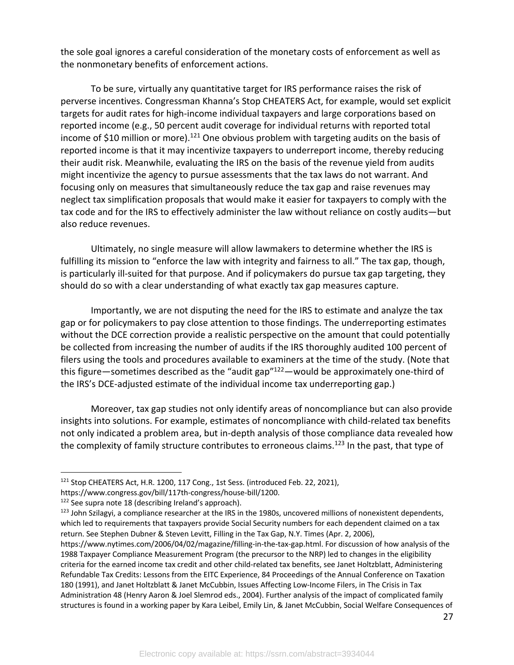the sole goal ignores a careful consideration of the monetary costs of enforcement as well as the nonmonetary benefits of enforcement actions.

To be sure, virtually any quantitative target for IRS performance raises the risk of perverse incentives. Congressman Khanna's Stop CHEATERS Act, for example, would set explicit targets for audit rates for high-income individual taxpayers and large corporations based on reported income (e.g., 50 percent audit coverage for individual returns with reported total income of \$10 million or more).<sup>121</sup> One obvious problem with targeting audits on the basis of reported income is that it may incentivize taxpayers to underreport income, thereby reducing their audit risk. Meanwhile, evaluating the IRS on the basis of the revenue yield from audits might incentivize the agency to pursue assessments that the tax laws do not warrant. And focusing only on measures that simultaneously reduce the tax gap and raise revenues may neglect tax simplification proposals that would make it easier for taxpayers to comply with the tax code and for the IRS to effectively administer the law without reliance on costly audits—but also reduce revenues.

Ultimately, no single measure will allow lawmakers to determine whether the IRS is fulfilling its mission to "enforce the law with integrity and fairness to all." The tax gap, though, is particularly ill-suited for that purpose. And if policymakers do pursue tax gap targeting, they should do so with a clear understanding of what exactly tax gap measures capture.

Importantly, we are not disputing the need for the IRS to estimate and analyze the tax gap or for policymakers to pay close attention to those findings. The underreporting estimates without the DCE correction provide a realistic perspective on the amount that could potentially be collected from increasing the number of audits if the IRS thoroughly audited 100 percent of filers using the tools and procedures available to examiners at the time of the study. (Note that this figure—sometimes described as the "audit gap"122—would be approximately one-third of the IRS's DCE-adjusted estimate of the individual income tax underreporting gap.)

Moreover, tax gap studies not only identify areas of noncompliance but can also provide insights into solutions. For example, estimates of noncompliance with child-related tax benefits not only indicated a problem area, but in-depth analysis of those compliance data revealed how the complexity of family structure contributes to erroneous claims.<sup>123</sup> In the past, that type of

<sup>121</sup> Stop CHEATERS Act, H.R. 1200, 117 Cong., 1st Sess. (introduced Feb. 22, 2021),

https://www.congress.gov/bill/117th-congress/house-bill/1200.

<sup>&</sup>lt;sup>122</sup> See supra note 18 (describing Ireland's approach).

<sup>123</sup> John Szilagyi, a compliance researcher at the IRS in the 1980s, uncovered millions of nonexistent dependents, which led to requirements that taxpayers provide Social Security numbers for each dependent claimed on a tax return. See Stephen Dubner & Steven Levitt, Filling in the Tax Gap, N.Y. Times (Apr. 2, 2006),

https://www.nytimes.com/2006/04/02/magazine/filling-in-the-tax-gap.html. For discussion of how analysis of the 1988 Taxpayer Compliance Measurement Program (the precursor to the NRP) led to changes in the eligibility criteria for the earned income tax credit and other child-related tax benefits, see Janet Holtzblatt, Administering Refundable Tax Credits: Lessons from the EITC Experience, 84 Proceedings of the Annual Conference on Taxation 180 (1991), and Janet Holtzblatt & Janet McCubbin, Issues Affecting Low-Income Filers, in The Crisis in Tax Administration 48 (Henry Aaron & Joel Slemrod eds., 2004). Further analysis of the impact of complicated family structures is found in a working paper by Kara Leibel, Emily Lin, & Janet McCubbin, Social Welfare Consequences of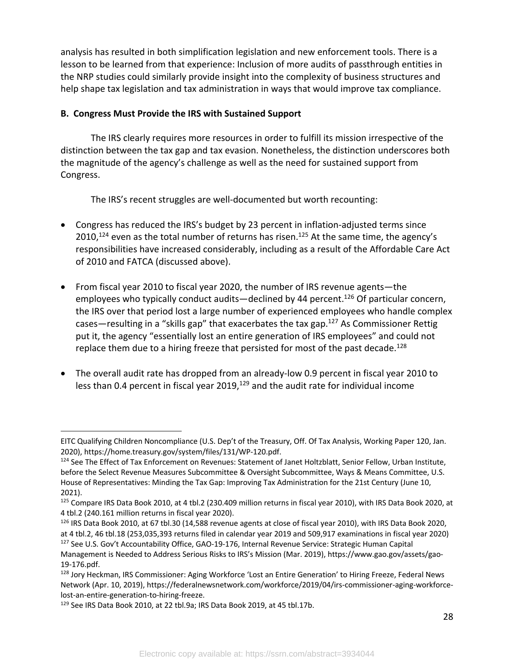analysis has resulted in both simplification legislation and new enforcement tools. There is a lesson to be learned from that experience: Inclusion of more audits of passthrough entities in the NRP studies could similarly provide insight into the complexity of business structures and help shape tax legislation and tax administration in ways that would improve tax compliance.

### **B. Congress Must Provide the IRS with Sustained Support**

The IRS clearly requires more resources in order to fulfill its mission irrespective of the distinction between the tax gap and tax evasion. Nonetheless, the distinction underscores both the magnitude of the agency's challenge as well as the need for sustained support from Congress.

The IRS's recent struggles are well-documented but worth recounting:

- Congress has reduced the IRS's budget by 23 percent in inflation-adjusted terms since  $2010$ ,<sup>124</sup> even as the total number of returns has risen.<sup>125</sup> At the same time, the agency's responsibilities have increased considerably, including as a result of the Affordable Care Act of 2010 and FATCA (discussed above).
- From fiscal year 2010 to fiscal year 2020, the number of IRS revenue agents—the employees who typically conduct audits—declined by 44 percent.<sup>126</sup> Of particular concern, the IRS over that period lost a large number of experienced employees who handle complex cases—resulting in a "skills gap" that exacerbates the tax gap.<sup>127</sup> As Commissioner Rettig put it, the agency "essentially lost an entire generation of IRS employees" and could not replace them due to a hiring freeze that persisted for most of the past decade.<sup>128</sup>
- The overall audit rate has dropped from an already-low 0.9 percent in fiscal year 2010 to less than 0.4 percent in fiscal year 2019,<sup>129</sup> and the audit rate for individual income

EITC Qualifying Children Noncompliance (U.S. Dep't of the Treasury, Off. Of Tax Analysis, Working Paper 120, Jan. 2020), https://home.treasury.gov/system/files/131/WP-120.pdf.

<sup>&</sup>lt;sup>124</sup> See The Effect of Tax Enforcement on Revenues: Statement of Janet Holtzblatt, Senior Fellow, Urban Institute, before the Select Revenue Measures Subcommittee & Oversight Subcommittee, Ways & Means Committee, U.S. House of Representatives: Minding the Tax Gap: Improving Tax Administration for the 21st Century (June 10, 2021).

<sup>&</sup>lt;sup>125</sup> Compare IRS Data Book 2010, at 4 tbl.2 (230.409 million returns in fiscal year 2010), with IRS Data Book 2020, at 4 tbl.2 (240.161 million returns in fiscal year 2020).<br><sup>126</sup> IRS Data Book 2010, at 67 tbl.30 (14,588 revenue agents at close of fiscal year 2010), with IRS Data Book 2020,

at 4 tbl.2, 46 tbl.18 (253,035,393 returns filed in calendar year 2019 and 509,917 examinations in fiscal year 2020)

<sup>&</sup>lt;sup>127</sup> See U.S. Gov't Accountability Office, GAO-19-176, Internal Revenue Service: Strategic Human Capital Management is Needed to Address Serious Risks to IRS's Mission (Mar. 2019), https://www.gao.gov/assets/gao-

<sup>19-176.</sup>pdf.<br><sup>128</sup> Jory Heckman, IRS Commissioner: Aging Workforce 'Lost an Entire Generation' to Hiring Freeze, Federal News Network (Apr. 10, 2019), https://federalnewsnetwork.com/workforce/2019/04/irs-commissioner-aging-workforcelost-an-entire-generation-to-hiring-freeze.

<sup>129</sup> See IRS Data Book 2010, at 22 tbl.9a; IRS Data Book 2019, at 45 tbl.17b.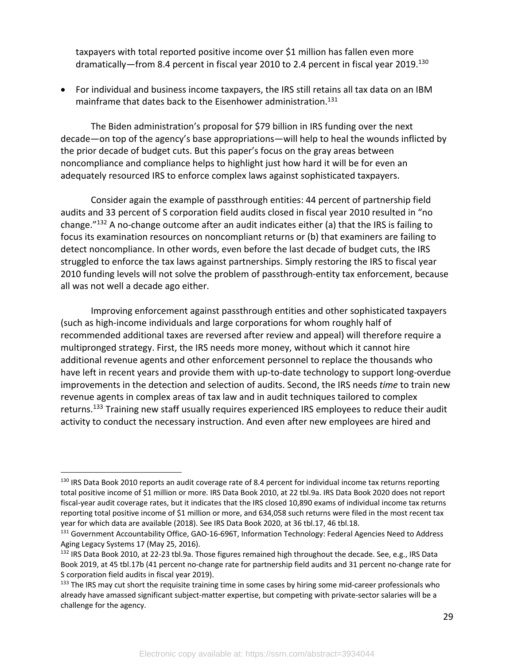taxpayers with total reported positive income over \$1 million has fallen even more dramatically-from 8.4 percent in fiscal year 2010 to 2.4 percent in fiscal year 2019.<sup>130</sup>

• For individual and business income taxpayers, the IRS still retains all tax data on an IBM mainframe that dates back to the Eisenhower administration.131

The Biden administration's proposal for \$79 billion in IRS funding over the next decade—on top of the agency's base appropriations—will help to heal the wounds inflicted by the prior decade of budget cuts. But this paper's focus on the gray areas between noncompliance and compliance helps to highlight just how hard it will be for even an adequately resourced IRS to enforce complex laws against sophisticated taxpayers.

Consider again the example of passthrough entities: 44 percent of partnership field audits and 33 percent of S corporation field audits closed in fiscal year 2010 resulted in "no change."132 A no-change outcome after an audit indicates either (a) that the IRS is failing to focus its examination resources on noncompliant returns or (b) that examiners are failing to detect noncompliance. In other words, even before the last decade of budget cuts, the IRS struggled to enforce the tax laws against partnerships. Simply restoring the IRS to fiscal year 2010 funding levels will not solve the problem of passthrough-entity tax enforcement, because all was not well a decade ago either.

Improving enforcement against passthrough entities and other sophisticated taxpayers (such as high-income individuals and large corporations for whom roughly half of recommended additional taxes are reversed after review and appeal) will therefore require a multipronged strategy. First, the IRS needs more money, without which it cannot hire additional revenue agents and other enforcement personnel to replace the thousands who have left in recent years and provide them with up-to-date technology to support long-overdue improvements in the detection and selection of audits. Second, the IRS needs *time* to train new revenue agents in complex areas of tax law and in audit techniques tailored to complex returns.<sup>133</sup> Training new staff usually requires experienced IRS employees to reduce their audit activity to conduct the necessary instruction. And even after new employees are hired and

<sup>&</sup>lt;sup>130</sup> IRS Data Book 2010 reports an audit coverage rate of 8.4 percent for individual income tax returns reporting total positive income of \$1 million or more. IRS Data Book 2010, at 22 tbl.9a. IRS Data Book 2020 does not report fiscal-year audit coverage rates, but it indicates that the IRS closed 10,890 exams of individual income tax returns reporting total positive income of \$1 million or more, and 634,058 such returns were filed in the most recent tax year for which data are available (2018). See IRS Data Book 2020, at 36 tbl.17, 46 tbl.18.<br><sup>131</sup> Government Accountability Office, GAO-16-696T, Information Technology: Federal Agencies Need to Address

Aging Legacy Systems 17 (May 25, 2016).

<sup>&</sup>lt;sup>132</sup> IRS Data Book 2010, at 22-23 tbl.9a. Those figures remained high throughout the decade. See, e.g., IRS Data Book 2019, at 45 tbl.17b (41 percent no-change rate for partnership field audits and 31 percent no-change rate for S corporation field audits in fiscal year 2019).

<sup>&</sup>lt;sup>133</sup> The IRS may cut short the requisite training time in some cases by hiring some mid-career professionals who already have amassed significant subject-matter expertise, but competing with private-sector salaries will be a challenge for the agency.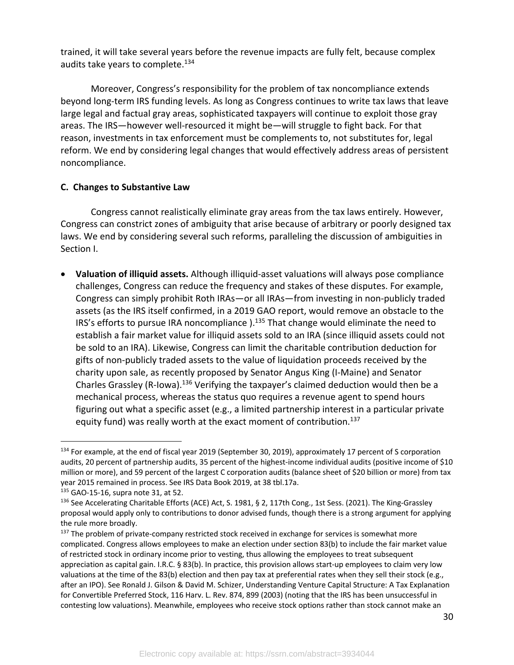trained, it will take several years before the revenue impacts are fully felt, because complex audits take years to complete.<sup>134</sup>

Moreover, Congress's responsibility for the problem of tax noncompliance extends beyond long-term IRS funding levels. As long as Congress continues to write tax laws that leave large legal and factual gray areas, sophisticated taxpayers will continue to exploit those gray areas. The IRS—however well-resourced it might be—will struggle to fight back. For that reason, investments in tax enforcement must be complements to, not substitutes for, legal reform. We end by considering legal changes that would effectively address areas of persistent noncompliance.

#### **C. Changes to Substantive Law**

Congress cannot realistically eliminate gray areas from the tax laws entirely. However, Congress can constrict zones of ambiguity that arise because of arbitrary or poorly designed tax laws. We end by considering several such reforms, paralleling the discussion of ambiguities in Section I.

• **Valuation of illiquid assets.** Although illiquid-asset valuations will always pose compliance challenges, Congress can reduce the frequency and stakes of these disputes. For example, Congress can simply prohibit Roth IRAs—or all IRAs—from investing in non-publicly traded assets (as the IRS itself confirmed, in a 2019 GAO report, would remove an obstacle to the IRS's efforts to pursue IRA noncompliance  $1.135$  That change would eliminate the need to establish a fair market value for illiquid assets sold to an IRA (since illiquid assets could not be sold to an IRA). Likewise, Congress can limit the charitable contribution deduction for gifts of non-publicly traded assets to the value of liquidation proceeds received by the charity upon sale, as recently proposed by Senator Angus King (I-Maine) and Senator Charles Grassley (R-Iowa).<sup>136</sup> Verifying the taxpayer's claimed deduction would then be a mechanical process, whereas the status quo requires a revenue agent to spend hours figuring out what a specific asset (e.g., a limited partnership interest in a particular private equity fund) was really worth at the exact moment of contribution.<sup>137</sup>

<sup>&</sup>lt;sup>134</sup> For example, at the end of fiscal year 2019 (September 30, 2019), approximately 17 percent of S corporation audits, 20 percent of partnership audits, 35 percent of the highest-income individual audits (positive income of \$10 million or more), and 59 percent of the largest C corporation audits (balance sheet of \$20 billion or more) from tax year 2015 remained in process. See IRS Data Book 2019, at 38 tbl.17a.

<sup>135</sup> GAO-15-16, supra note 31, at 52.

<sup>&</sup>lt;sup>136</sup> See Accelerating Charitable Efforts (ACE) Act, S. 1981, § 2, 117th Cong., 1st Sess. (2021). The King-Grassley proposal would apply only to contributions to donor advised funds, though there is a strong argument for applying the rule more broadly.

<sup>&</sup>lt;sup>137</sup> The problem of private-company restricted stock received in exchange for services is somewhat more complicated. Congress allows employees to make an election under section 83(b) to include the fair market value of restricted stock in ordinary income prior to vesting, thus allowing the employees to treat subsequent appreciation as capital gain. I.R.C. § 83(b). In practice, this provision allows start-up employees to claim very low valuations at the time of the 83(b) election and then pay tax at preferential rates when they sell their stock (e.g., after an IPO). See Ronald J. Gilson & David M. Schizer, Understanding Venture Capital Structure: A Tax Explanation for Convertible Preferred Stock, 116 Harv. L. Rev. 874, 899 (2003) (noting that the IRS has been unsuccessful in contesting low valuations). Meanwhile, employees who receive stock options rather than stock cannot make an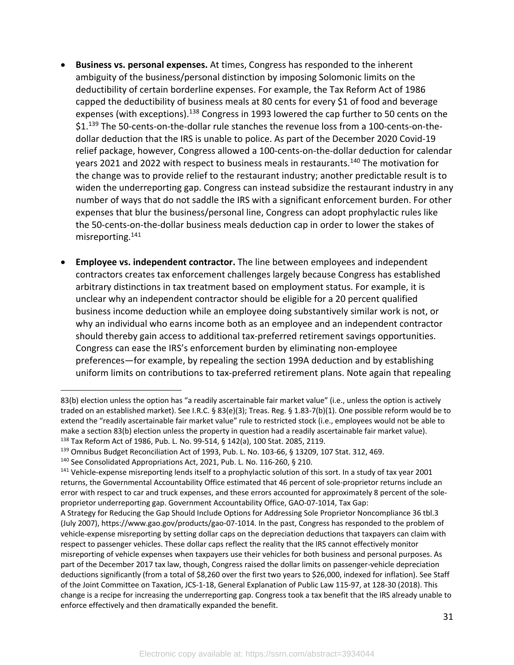- **Business vs. personal expenses.** At times, Congress has responded to the inherent ambiguity of the business/personal distinction by imposing Solomonic limits on the deductibility of certain borderline expenses. For example, the Tax Reform Act of 1986 capped the deductibility of business meals at 80 cents for every \$1 of food and beverage expenses (with exceptions).<sup>138</sup> Congress in 1993 lowered the cap further to 50 cents on the \$1.<sup>139</sup> The 50-cents-on-the-dollar rule stanches the revenue loss from a 100-cents-on-thedollar deduction that the IRS is unable to police. As part of the December 2020 Covid-19 relief package, however, Congress allowed a 100-cents-on-the-dollar deduction for calendar years 2021 and 2022 with respect to business meals in restaurants.<sup>140</sup> The motivation for the change was to provide relief to the restaurant industry; another predictable result is to widen the underreporting gap. Congress can instead subsidize the restaurant industry in any number of ways that do not saddle the IRS with a significant enforcement burden. For other expenses that blur the business/personal line, Congress can adopt prophylactic rules like the 50-cents-on-the-dollar business meals deduction cap in order to lower the stakes of misreporting.141
- **Employee vs. independent contractor.** The line between employees and independent contractors creates tax enforcement challenges largely because Congress has established arbitrary distinctions in tax treatment based on employment status. For example, it is unclear why an independent contractor should be eligible for a 20 percent qualified business income deduction while an employee doing substantively similar work is not, or why an individual who earns income both as an employee and an independent contractor should thereby gain access to additional tax-preferred retirement savings opportunities. Congress can ease the IRS's enforcement burden by eliminating non-employee preferences—for example, by repealing the section 199A deduction and by establishing uniform limits on contributions to tax-preferred retirement plans. Note again that repealing

<sup>83(</sup>b) election unless the option has "a readily ascertainable fair market value" (i.e., unless the option is actively traded on an established market). See I.R.C. § 83(e)(3); Treas. Reg. § 1.83-7(b)(1). One possible reform would be to extend the "readily ascertainable fair market value" rule to restricted stock (i.e., employees would not be able to make a section 83(b) election unless the property in question had a readily ascertainable fair market value). <sup>138</sup> Tax Reform Act of 1986, Pub. L. No. 99-514, § 142(a), 100 Stat. 2085, 2119.

<sup>139</sup> Omnibus Budget Reconciliation Act of 1993, Pub. L. No. 103-66, § 13209, 107 Stat. 312, 469.

<sup>&</sup>lt;sup>140</sup> See Consolidated Appropriations Act, 2021, Pub. L. No. 116-260, § 210.<br><sup>141</sup> Vehicle-expense misreporting lends itself to a prophylactic solution of this sort. In a study of tax year 2001 returns, the Governmental Accountability Office estimated that 46 percent of sole-proprietor returns include an error with respect to car and truck expenses, and these errors accounted for approximately 8 percent of the soleproprietor underreporting gap. Government Accountability Office, GAO-07-1014, Tax Gap:

A Strategy for Reducing the Gap Should Include Options for Addressing Sole Proprietor Noncompliance 36 tbl.3 (July 2007), https://www.gao.gov/products/gao-07-1014. In the past, Congress has responded to the problem of vehicle-expense misreporting by setting dollar caps on the depreciation deductions that taxpayers can claim with respect to passenger vehicles. These dollar caps reflect the reality that the IRS cannot effectively monitor misreporting of vehicle expenses when taxpayers use their vehicles for both business and personal purposes. As part of the December 2017 tax law, though, Congress raised the dollar limits on passenger-vehicle depreciation deductions significantly (from a total of \$8,260 over the first two years to \$26,000, indexed for inflation). See Staff of the Joint Committee on Taxation, JCS-1-18, General Explanation of Public Law 115-97, at 128-30 (2018). This change is a recipe for increasing the underreporting gap. Congress took a tax benefit that the IRS already unable to enforce effectively and then dramatically expanded the benefit.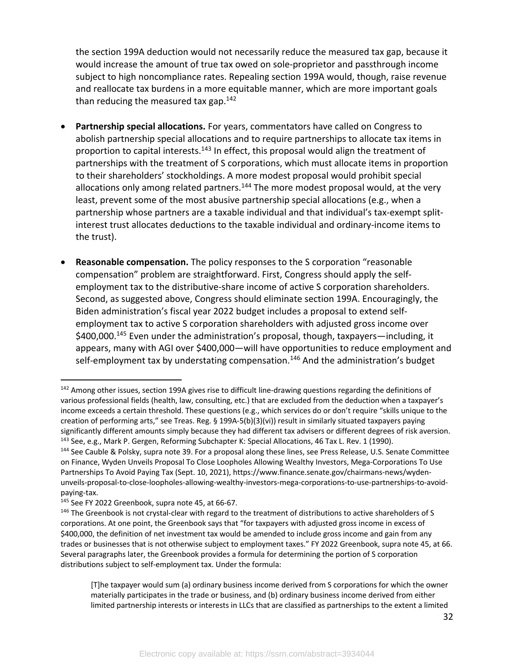the section 199A deduction would not necessarily reduce the measured tax gap, because it would increase the amount of true tax owed on sole-proprietor and passthrough income subject to high noncompliance rates. Repealing section 199A would, though, raise revenue and reallocate tax burdens in a more equitable manner, which are more important goals than reducing the measured tax gap. $142$ 

- **Partnership special allocations.** For years, commentators have called on Congress to abolish partnership special allocations and to require partnerships to allocate tax items in proportion to capital interests.<sup>143</sup> In effect, this proposal would align the treatment of partnerships with the treatment of S corporations, which must allocate items in proportion to their shareholders' stockholdings. A more modest proposal would prohibit special allocations only among related partners.<sup>144</sup> The more modest proposal would, at the very least, prevent some of the most abusive partnership special allocations (e.g., when a partnership whose partners are a taxable individual and that individual's tax-exempt splitinterest trust allocates deductions to the taxable individual and ordinary-income items to the trust).
- **Reasonable compensation.** The policy responses to the S corporation "reasonable compensation" problem are straightforward. First, Congress should apply the selfemployment tax to the distributive-share income of active S corporation shareholders. Second, as suggested above, Congress should eliminate section 199A. Encouragingly, the Biden administration's fiscal year 2022 budget includes a proposal to extend selfemployment tax to active S corporation shareholders with adjusted gross income over \$400,000.145 Even under the administration's proposal, though, taxpayers—including, it appears, many with AGI over \$400,000—will have opportunities to reduce employment and self-employment tax by understating compensation.<sup>146</sup> And the administration's budget

<sup>&</sup>lt;sup>142</sup> Among other issues, section 199A gives rise to difficult line-drawing questions regarding the definitions of various professional fields (health, law, consulting, etc.) that are excluded from the deduction when a taxpayer's income exceeds a certain threshold. These questions (e.g., which services do or don't require "skills unique to the creation of performing arts," see Treas. Reg. § 199A-5(b)(3)(vi)) result in similarly situated taxpayers paying significantly different amounts simply because they had different tax advisers or different degrees of risk aversion. <sup>143</sup> See, e.g., Mark P. Gergen, Reforming Subchapter K: Special Allocations, 46 Tax L. Rev. 1 (1990).

<sup>&</sup>lt;sup>144</sup> See Cauble & Polsky, supra note 39. For a proposal along these lines, see Press Release, U.S. Senate Committee on Finance, Wyden Unveils Proposal To Close Loopholes Allowing Wealthy Investors, Mega-Corporations To Use Partnerships To Avoid Paying Tax (Sept. 10, 2021), https://www.finance.senate.gov/chairmans-news/wydenunveils-proposal-to-close-loopholes-allowing-wealthy-investors-mega-corporations-to-use-partnerships-to-avoidpaying-tax.

<sup>&</sup>lt;sup>145</sup> See FY 2022 Greenbook, supra note 45, at 66-67.<br><sup>146</sup> The Greenbook is not crystal-clear with regard to the treatment of distributions to active shareholders of S corporations. At one point, the Greenbook says that "for taxpayers with adjusted gross income in excess of \$400,000, the definition of net investment tax would be amended to include gross income and gain from any trades or businesses that is not otherwise subject to employment taxes." FY 2022 Greenbook, supra note 45, at 66. Several paragraphs later, the Greenbook provides a formula for determining the portion of S corporation distributions subject to self-employment tax. Under the formula:

<sup>[</sup>T]he taxpayer would sum (a) ordinary business income derived from S corporations for which the owner materially participates in the trade or business, and (b) ordinary business income derived from either limited partnership interests or interests in LLCs that are classified as partnerships to the extent a limited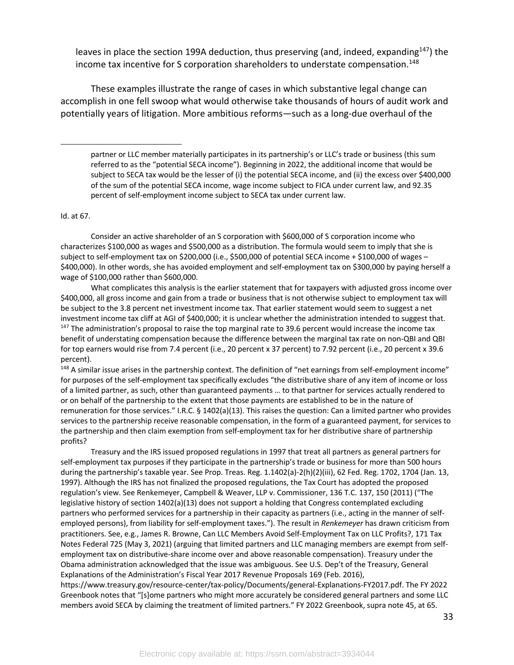leaves in place the section 199A deduction, thus preserving (and, indeed, expanding $^{147}$ ) the income tax incentive for S corporation shareholders to understate compensation.<sup>148</sup>

These examples illustrate the range of cases in which substantive legal change can accomplish in one fell swoop what would otherwise take thousands of hours of audit work and potentially years of litigation. More ambitious reforms—such as a long-due overhaul of the

partner or LLC member materially participates in its partnership's or LLC's trade or business (this sum referred to as the "potential SECA income"). Beginning in 2022, the additional income that would be subject to SECA tax would be the lesser of (i) the potential SECA income, and (ii) the excess over \$400,000 of the sum of the potential SECA income, wage income subject to FICA under current law, and 92.35 percent of self-employment income subject to SECA tax under current law.

#### Id. at 67.

Consider an active shareholder of an S corporation with \$600,000 of S corporation income who characterizes \$100,000 as wages and \$500,000 as a distribution. The formula would seem to imply that she is subject to self-employment tax on \$200,000 (i.e., \$500,000 of potential SECA income + \$100,000 of wages – \$400,000). In other words, she has avoided employment and self-employment tax on \$300,000 by paying herself a wage of \$100,000 rather than \$600,000.

What complicates this analysis is the earlier statement that for taxpayers with adjusted gross income over \$400,000, all gross income and gain from a trade or business that is not otherwise subject to employment tax will be subject to the 3.8 percent net investment income tax. That earlier statement would seem to suggest a net investment income tax cliff at AGI of \$400,000; it is unclear whether the administration intended to suggest that. <sup>147</sup> The administration's proposal to raise the top marginal rate to 39.6 percent would increase the income tax benefit of understating compensation because the difference between the marginal tax rate on non-QBI and QBI for top earners would rise from 7.4 percent (i.e., 20 percent x 37 percent) to 7.92 percent (i.e., 20 percent x 39.6 percent).<br><sup>148</sup> A similar issue arises in the partnership context. The definition of "net earnings from self-employment income"

for purposes of the self-employment tax specifically excludes "the distributive share of any item of income or loss of a limited partner, as such, other than guaranteed payments … to that partner for services actually rendered to or on behalf of the partnership to the extent that those payments are established to be in the nature of remuneration for those services." I.R.C. § 1402(a)(13). This raises the question: Can a limited partner who provides services to the partnership receive reasonable compensation, in the form of a guaranteed payment, for services to the partnership and then claim exemption from self-employment tax for her distributive share of partnership profits?

Treasury and the IRS issued proposed regulations in 1997 that treat all partners as general partners for self-employment tax purposes if they participate in the partnership's trade or business for more than 500 hours during the partnership's taxable year. See Prop. Treas. Reg. 1.1402(a)-2(h)(2)(iii), 62 Fed. Reg. 1702, 1704 (Jan. 13, 1997). Although the IRS has not finalized the proposed regulations, the Tax Court has adopted the proposed regulation's view. See Renkemeyer, Campbell & Weaver, LLP v. Commissioner, 136 T.C. 137, 150 (2011) ("The legislative history of section 1402(a)(13) does not support a holding that Congress contemplated excluding partners who performed services for a partnership in their capacity as partners (i.e., acting in the manner of selfemployed persons), from liability for self-employment taxes."). The result in *Renkemeyer* has drawn criticism from practitioners. See, e.g., James R. Browne, Can LLC Members Avoid Self-Employment Tax on LLC Profits?, 171 Tax Notes Federal 725 (May 3, 2021) (arguing that limited partners and LLC managing members are exempt from selfemployment tax on distributive-share income over and above reasonable compensation). Treasury under the Obama administration acknowledged that the issue was ambiguous. See U.S. Dep't of the Treasury, General Explanations of the Administration's Fiscal Year 2017 Revenue Proposals 169 (Feb. 2016),

https://www.treasury.gov/resource-center/tax-policy/Documents/general-Explanations-FY2017.pdf. The FY 2022 Greenbook notes that "[s]ome partners who might more accurately be considered general partners and some LLC members avoid SECA by claiming the treatment of limited partners." FY 2022 Greenbook, supra note 45, at 65.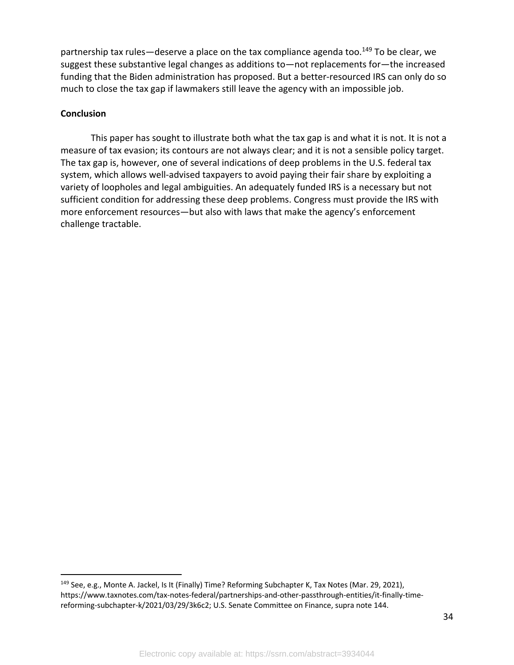partnership tax rules—deserve a place on the tax compliance agenda too.<sup>149</sup> To be clear, we suggest these substantive legal changes as additions to—not replacements for—the increased funding that the Biden administration has proposed. But a better-resourced IRS can only do so much to close the tax gap if lawmakers still leave the agency with an impossible job.

#### **Conclusion**

This paper has sought to illustrate both what the tax gap is and what it is not. It is not a measure of tax evasion; its contours are not always clear; and it is not a sensible policy target. The tax gap is, however, one of several indications of deep problems in the U.S. federal tax system, which allows well-advised taxpayers to avoid paying their fair share by exploiting a variety of loopholes and legal ambiguities. An adequately funded IRS is a necessary but not sufficient condition for addressing these deep problems. Congress must provide the IRS with more enforcement resources—but also with laws that make the agency's enforcement challenge tractable.

<sup>&</sup>lt;sup>149</sup> See, e.g., Monte A. Jackel, Is It (Finally) Time? Reforming Subchapter K, Tax Notes (Mar. 29, 2021), https://www.taxnotes.com/tax-notes-federal/partnerships-and-other-passthrough-entities/it-finally-timereforming-subchapter-k/2021/03/29/3k6c2; U.S. Senate Committee on Finance, supra note 144.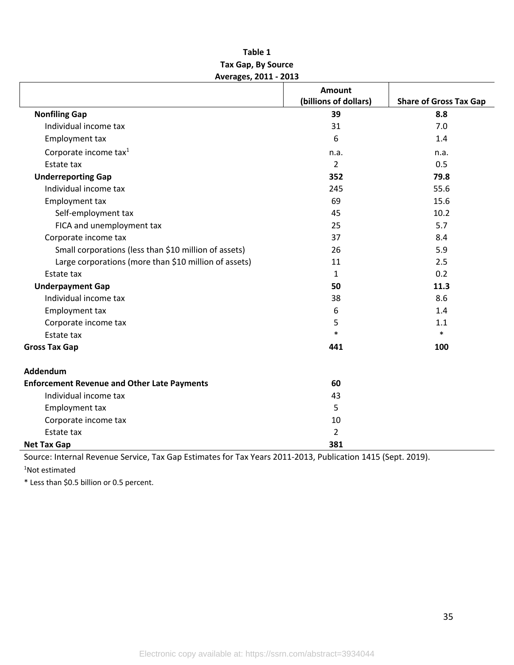#### **Table 1 Tax Gap, By Source Averages, 2011 - 2013**

|                                                       | <b>Amount</b>         |                               |
|-------------------------------------------------------|-----------------------|-------------------------------|
|                                                       | (billions of dollars) | <b>Share of Gross Tax Gap</b> |
| <b>Nonfiling Gap</b>                                  | 39                    | 8.8                           |
| Individual income tax                                 | 31                    | 7.0                           |
| Employment tax                                        | 6                     | 1.4                           |
| Corporate income tax <sup>1</sup>                     | n.a.                  | n.a.                          |
| Estate tax                                            | 2                     | 0.5                           |
| <b>Underreporting Gap</b>                             | 352                   | 79.8                          |
| Individual income tax                                 | 245                   | 55.6                          |
| Employment tax                                        | 69                    | 15.6                          |
| Self-employment tax                                   | 45                    | 10.2                          |
| FICA and unemployment tax                             | 25                    | 5.7                           |
| Corporate income tax                                  | 37                    | 8.4                           |
| Small corporations (less than \$10 million of assets) | 26                    | 5.9                           |
| Large corporations (more than \$10 million of assets) | 11                    | 2.5                           |
| Estate tax                                            | $\mathbf{1}$          | 0.2                           |
| <b>Underpayment Gap</b>                               | 50                    | 11.3                          |
| Individual income tax                                 | 38                    | 8.6                           |
| Employment tax                                        | 6                     | 1.4                           |
| Corporate income tax                                  | 5                     | 1.1                           |
| Estate tax                                            | $\ast$                | $\ast$                        |
| <b>Gross Tax Gap</b>                                  | 441                   | 100                           |
| Addendum                                              |                       |                               |
| <b>Enforcement Revenue and Other Late Payments</b>    | 60                    |                               |
| Individual income tax                                 | 43                    |                               |
| Employment tax                                        | 5                     |                               |
| Corporate income tax                                  | 10                    |                               |
| Estate tax                                            | $\overline{2}$        |                               |
| <b>Net Tax Gap</b>                                    | 381                   |                               |

Source: Internal Revenue Service, Tax Gap Estimates for Tax Years 2011-2013, Publication 1415 (Sept. 2019). 1 Not estimated

\* Less than \$0.5 billion or 0.5 percent.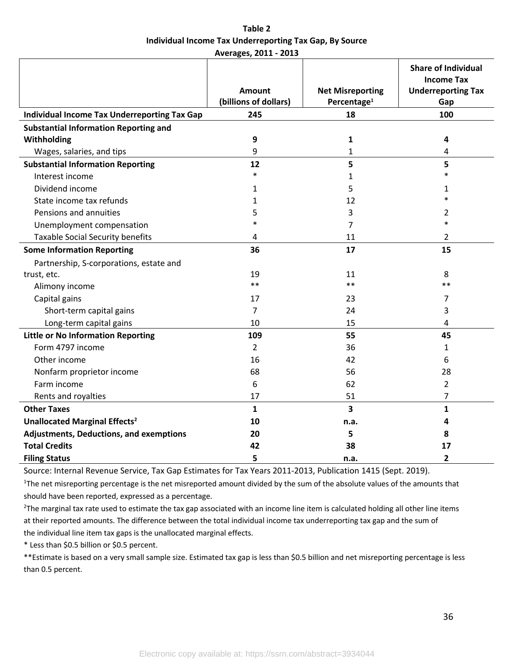**Table 2 Individual Income Tax Underreporting Tax Gap, By Source Averages, 2011 - 2013**

|                                              |                       |                         | <b>Share of Individual</b><br><b>Income Tax</b> |
|----------------------------------------------|-----------------------|-------------------------|-------------------------------------------------|
|                                              | Amount                | <b>Net Misreporting</b> | <b>Underreporting Tax</b>                       |
|                                              | (billions of dollars) | Percentage <sup>1</sup> | Gap                                             |
| Individual Income Tax Underreporting Tax Gap | 245                   | 18                      | 100                                             |
| <b>Substantial Information Reporting and</b> |                       |                         |                                                 |
| Withholding                                  | 9                     | 1                       | 4                                               |
| Wages, salaries, and tips                    | 9                     | 1                       | 4                                               |
| <b>Substantial Information Reporting</b>     | 12                    | 5                       | 5                                               |
| Interest income                              | $\ast$                | 1                       | $\ast$                                          |
| Dividend income                              | 1                     | 5                       | 1                                               |
| State income tax refunds                     | 1                     | 12                      | $\ast$                                          |
| Pensions and annuities                       | 5                     | 3                       | 2                                               |
| Unemployment compensation                    | $\ast$                | 7                       | $\ast$                                          |
| <b>Taxable Social Security benefits</b>      | 4                     | 11                      | 2                                               |
| <b>Some Information Reporting</b>            | 36                    | 17                      | 15                                              |
| Partnership, S-corporations, estate and      |                       |                         |                                                 |
| trust, etc.                                  | 19                    | 11                      | 8                                               |
| Alimony income                               | $**$                  | $**$                    | $**$                                            |
| Capital gains                                | 17                    | 23                      | 7                                               |
| Short-term capital gains                     | 7                     | 24                      | 3                                               |
| Long-term capital gains                      | 10                    | 15                      | $\overline{4}$                                  |
| <b>Little or No Information Reporting</b>    | 109                   | 55                      | 45                                              |
| Form 4797 income                             | $\overline{2}$        | 36                      | 1                                               |
| Other income                                 | 16                    | 42                      | 6                                               |
| Nonfarm proprietor income                    | 68                    | 56                      | 28                                              |
| Farm income                                  | 6                     | 62                      | 2                                               |
| Rents and royalties                          | 17                    | 51                      | 7                                               |
| <b>Other Taxes</b>                           | $\mathbf{1}$          | 3                       | $\mathbf{1}$                                    |
| Unallocated Marginal Effects <sup>2</sup>    | 10                    | n.a.                    | 4                                               |
| Adjustments, Deductions, and exemptions      | 20                    | 5                       | 8                                               |
| <b>Total Credits</b>                         | 42                    | 38                      | 17                                              |
| <b>Filing Status</b>                         | 5                     | n.a.                    | 2                                               |

Source: Internal Revenue Service, Tax Gap Estimates for Tax Years 2011-2013, Publication 1415 (Sept. 2019).

<sup>1</sup>The net misreporting percentage is the net misreported amount divided by the sum of the absolute values of the amounts that should have been reported, expressed as a percentage.

 $2$ The marginal tax rate used to estimate the tax gap associated with an income line item is calculated holding all other line items at their reported amounts. The difference between the total individual income tax underreporting tax gap and the sum of the individual line item tax gaps is the unallocated marginal effects.

\* Less than \$0.5 billion or \$0.5 percent.

\*\*Estimate is based on a very small sample size. Estimated tax gap is less than \$0.5 billion and net misreporting percentage is less than 0.5 percent.